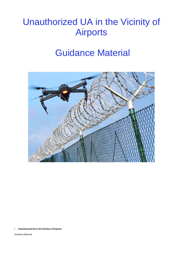# Guidance Material



1 **Unauthorized UA in the Vicinity of Airports**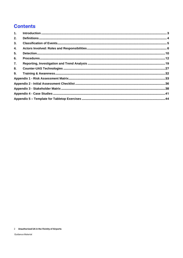# **Contents**

| 2. |  |
|----|--|
| 3. |  |
| 4. |  |
| 5. |  |
| 6. |  |
| 7. |  |
| 8. |  |
| 9. |  |
|    |  |
|    |  |
|    |  |
|    |  |
|    |  |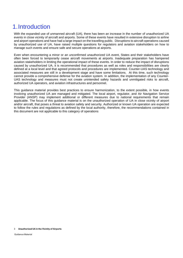# <span id="page-2-0"></span>1.Introduction

With the expanded use of unmanned aircraft (UA), there has been an increase in the number of unauthorized UA events in close vicinity of aircraft and airports. Some of these events have resulted in extensive disruption to airline and airport operations and have had a large impact on the travelling public. Disruptions to aircraft operations caused by unauthorized use of UA, have raised multiple questions for regulators and aviation stakeholders on how to manage such events and ensure safe and secure operations at airports.

Even when encountering a minor or an unconfirmed unauthorized UA event, States and their stakeholders have often been forced to temporarily cease aircraft movements at airports. Inadequate preparation has hampered aviation stakeholders in limiting the operational impact of these events. In order to reduce the impact of disruptions caused by unauthorized UA, it is recommended that procedures as well as roles and responsibilities are clearly defined at a local level and that agreed protocols and procedures are implemented. Counter-UAS technology and associated measures are still in a development stage and have some limitations. At this time, such technology cannot provide a comprehensive defense for the aviation system. In addition, the implementation of any Counter-UAS technology and measures must not create unintended safety hazards and unmitigated risks to aircraft, authorized UA operators, and aviation infrastructures and personnel.

This guidance material provides best practices to ensure harmonization, to the extent possible, in how events involving unauthorized UA are managed and mitigated. The local airport, regulator, and Air Navigation Service Provider (ANSP) may implement additional or different measures due to national requirements that remain applicable. The focus of this guidance material is on the unauthorized operation of UA in close vicinity of airport and/or aircraft, that poses a threat to aviation safety and security. Authorized or known UA operation are expected to follow the rules and regulations as defined by the local authority, therefore, the recommendations contained in this document are not applicable to this category of operations

#### 3 **Unauthorized UA in the Vicinity of Airports**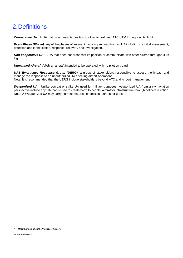# <span id="page-3-0"></span>2.Definitions

*Cooperative UA:* A UA that broadcasts its position to other aircraft and ATC/UTM throughout its flight.

*Event Phase (Phase)*: any of the phases of an event involving an unauthorized UA including the initial assessment, detection and identification, response, recovery and investigation.

*Non-cooperative UA:* A UA that does not broadcast its position or communicate with other aircraft throughout its flight.

*Unmanned Aircraft (UA):* an aircraft intended to be operated with no pilot on board

*UAS Emergency Response Group (UERG)*: a group of stakeholders responsible to assess the impact and manage the response to an unauthorized UA affecting airport operations. Note: It is recommended that the UERG include stakeholders beyond ATC and Airport management.

*Weaponized UA:* Unlike combat or strike UA used for military purposes, weaponized UA from a civil aviation perspective include any UA that is used to create harm to people, aircraft or infrastructure through deliberate action. Note: A Weaponized UA may carry harmful material, chemicals, bombs, or guns.

#### 4 **Unauthorized UA in the Vicinity of Airports**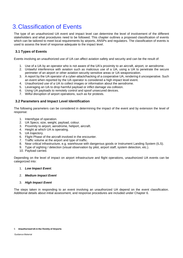# <span id="page-4-0"></span>3.Classification of Events

The type of an unauthorized UA event and impact level can determine the level of involvement of the different stakeholders and what procedures need to be followed. This chapter outlines a proposed classification of events which can be tailored to meet local requirements by airports, ANSPs and regulators. The classification of events is used to assess the level of response adequate to the impact level.

# **3.1 Types of Events**

Events involving an unauthorized use of UA can affect aviation safety and security and can be the result of:

- 1. Use of a UA by an operator who is not aware of the UA's proximity to an aircraft, airport, or aerodrome.
- 2. Unlawful interference with aviation such as malicious use of a UA, using a UA to penetrate the secure perimeter of an airport or other aviation security sensitive areas or UA weaponization.
- 3. A report by the UA operator of a cyber-attack/hacking of a cooperative UA, rendering it uncooperative. Such an event when reported by the UA operator is considered a high impact level event.
- 4. Unauthorized use of a UA to collect images or information about the aerodrome.
- 5. Leveraging an UA to drop harmful payload or inflict damage via collision.
- 6. Using UA payloads to remotely control and spoof unsecured devices.
- 7. Wilful disruption of airport operations, such as for protests.

### **3.2 Parameters and Impact Level Identification**

The following parameters can be considered in determining the impact of the event and by extension the level of response:

- 1. Intent/type of operation.
- 2. UA Specs; size, weight, payload, colour.
- 3. Proximity to airport, aerodrome, heliport, aircraft.
- 4. Height at which UA is operating.
- 5. UA trajectory.
- 6. Flight Phase of the aircraft involved in the encounter.
- 7. Traffic volume at the airport and type of traffic.
- 8. Near critical infrastructure, e.g. warehouse with dangerous goods or Instrument Landing System (ILS).
- 9. Type of sighting / detection (visual observation by pilot, airport staff, system detection, etc.).
- 10. Payload carried.

Depending on the level of impact on airport infrastructure and flight operations, unauthorized UA events can be categorized into:

1. *Low Impact Event*.

#### 2. *Medium Impact Event*

#### 3. *High Impact Event*

The steps taken in responding to an event involving an unauthorized UA depend on the event classification. Additional details about initial assessment, and response procedures are included under Chapter 6.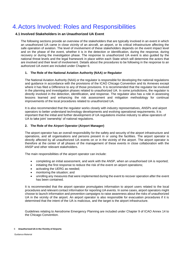# <span id="page-5-0"></span>4.Actors Involved: Roles and Responsibilities

### **4.1 Involved Stakeholders in an Unauthorized UA Event**

The following sections provide an overview of the stakeholders that are typically involved in an event in which an unauthorized UA came in close vicinity of an aircraft, an airport, or its critical infrastructure affecting the safe operation of aviation. The level of involvement of these stakeholders depends on the event impact level and on the phase of the event, whether it is in the detection or identification, during the response, during recovery or during the investigation phase. The response to unauthorized UA event is also guided by the national threat levels and the legal framework in place within each State which will determine the actors that are involved and their level of involvement. Details about the procedures to be following in the response to an authorized UA event are included under Chapter 6.

#### **1. The Role of the National Aviation Authority (NAA) or Regulator**

The National Aviation Authority (NAA) or the regulator is responsible for developing the national regulations and guidance in accordance with the provisions of the ICAO Chicago Convention and its Annexes except where it has filed a Difference to any of those provisions. It is recommended that the regulator be involved in the planning and investigation phases related to unauthorized UA. In some jurisdictions, the regulator is directly involved in the detection, identification, and response. The regulator also has a role in assessing lessons learned and enhancing the risk assessment and mitigation methodology for continual improvements of the local procedures related to unauthorized UA.

It is also recommended that the regulator works closely with industry representatives, ANSPs and airport operators to better understand technology developments and evolving operational requirements. It is important that the initial and further development of UA regulations involve industry to allow operators of UA to take joint 'ownership' of national regulations.

#### **2. The Role of the Airport Operator (Airport Manager)**

The airport operator has an overall responsibility for the safety and security of the airport infrastructure and operations, and all organisations and persons present in or using the facilities. The airport operator is directly affected by all unauthorized UA events on or in the vicinity of the airport. The airport operator is therefore at the center of all phases of the management of these events in close collaboration with the ANSP and other relevant stakeholders.

The main responsibilities of the airport operator can include:

- completing an initial assessment, and work with the ANSP, when an unauthorised UA is reported;
- initiating the first response to reduce the risk of the event on airport operations;
- activating the UERG as needed;
- monitoring the situation; and
- unrolling any measures that were implemented during the event to recover operation after the event has been contained.

It is recommended that the airport operator promulgates information to airport users related to the local procedures and relevant contact information for reporting UA events. In some cases, airport operators might choose to launch information and prevention campaigns to raise awareness about the risks of unauthorized UA in the vicinity of the airport. An airport operator is also responsible for evacuation procedures if it is determined that the intent of the UA is malicious, and the target is the airport infrastructure.

Guidelines relating to Aerodrome Emergency Planning are included under Chapter 9 of ICAO Annex 14 to the Chicago Convention.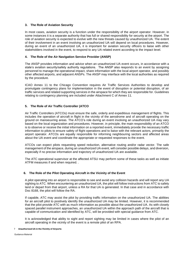#### **3. The Role of Aviation Security**

In most cases, aviation security is a function under the responsibility of the airport operator. However, in some instances it is a separate authority that has full or shared responsibility for security at the airport. The role of aviation security is expected to evolve with the new threats caused by unauthorized UA. The extent of their involvement in an event involving an unauthorized UA will depend on local procedures. However, during an event of an unauthorized UA, it is important for aviation security officers to liaise with other stakeholders involved in the event, to respond to any UA related event according to the impact level.

#### **4. The Role of the Air Navigation Service Provider (ANSP)**

The ANSP provides information and advice when an unauthorized UA event occurs, in accordance with a state's aviation security/safety authority regulations. The ANSP also responds to an event by assigning personnel to manage the operational impact, share information with the local airport operator, and possibly other affected airports, and adjacent ANSPs. The ANSP may interface with the local authorities as required by the procedure.

ICAO Annex 11 to the Chicago Convention requires Air Traffic Services Authorities to develop and promulgate contingency plans for implementation in the event of disruption or potential disruption, of air traffic services and related supporting services in the airspace for which they are responsible for. Guidelines relating to contingency planning are included under Attachment C of Annex 11.

#### **5. The Role of Air Traffic Controller (ATCO**

Air Traffic Controllers (ATCOs) must ensure the safe, orderly and expeditious management of flights. This includes the operation of aircraft in flight in the vicinity of the aerodrome and of aircraft operating on the ground on manoeuvring areas. The ATCO's role during an event involving an unauthorized UA may vary based on the local organization and procedures. However, in principle, the main responsibility of an ATCO is to observe or receive the initial information on a reported event, immediately provide the necessary traffic information to pilots to ensure safety of flight operations and to liaise with the relevant actors, primarily the airport operator. ATCOs are equally responsible for informing neighbouring sectors and affected areas about the UA event and coordinate the appropriate or requested responses to the event.

ATCOs can expect pilots requesting speed reduction, alternative routing and/or radar vector. The safe management of the airspace, during an unauthorized UA event, will consider possible delays, and diversion, especially if no precise information and trajectory of unauthorized UA are available.

The ATC operational supervisor at the affected ATSU may perform some of these tasks as well as initiate ATFM measures if and when required. .

#### **6. The Role of the Pilot Operating Aircraft in the Vicinity of the Event**

A pilot operating into an airport is responsible to see and avoid any collision hazards and will report any UA sighting to ATC. When encountering an unauthorized UA, the pilot will follow instructions from ATC to safely land or depart from that airport, unless a RA for that UA is generated. In that case and in accordance with Doc 8168, the pilot will follow the RA.

If capable, ATC may assist the pilot by providing traffic information on the unauthorized UA. The abilities for an aircraft pilot to positively identify the unauthorized UA may be limited. However, it is recommended that the pilot provide ATC with as much information as possible about the unauthorized UA. As with closely spaced parallel instrument approaches, an unauthorized UA within the approach path of the aircraft that is capable of communication and identified by ATC, will be provided with special guidance from ATC.

It is acknowledged that ability to sight and report sighting may be limited in cases where the pilot of an aircraft operating in the vicinity of the event is a remote pilot of an RPA.

#### 7 **Unauthorized UA in the Vicinity of Airports**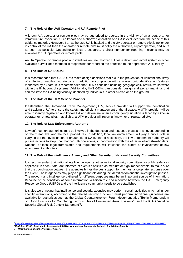#### **7. The Role of the UAS Operator and UA Remote Pilot**

A known UA operator or remote pilot may be authorized to operate in the vicinity of an airport, e.g. for infrastructure inspection. Such known and authorized operation of a UA is excluded from the scope of this guidance material. However, if an authorized UA is hacked and the UA operator or remote pilot is no longer in control of the UA then the operator or remote pilot must notify the authorities, airport operator, and ATC as soon as possible. Depending on local procedures, a direct number for reporting incidents may be available for UA operators or remote pilots.

An UA Operator or remote pilot who identifies an unauthorized UA via a detect and avoid system or other available surveillance methods is responsible for reporting the detection to the appropriate ATC facility.

#### **8. The Role of UAS OEMS**

It is recommended that UAS OEMs make design decisions that aid in the prevention of unintentional stray of a UA into unauthorized airspace In addition to compliance with any electronic identification features mandated by a State, it is recommended that OEMs consider including geographically restrictive software within the flight control systems. Additionally, UAS OEMs can consider design and aircraft markings that can facilitate the UA being visually identified by individuals in other aircraft or on the ground.

#### **9. The Role of the UTM Service Provider**

If established, the Unmanned Traffic Management (UTM) service provider, will support the identification and tracking of UA to ensure the safety and efficient management of the airspace. A UTM provider will be able to identify registered and known UA and determine when a contingency situation is faced by a known operator or remote pilot. If available, a UTM provider will report unknown or unregistered UA.

#### **10. The Role of Law Enforcement Authority**

Law enforcement authorities may be involved in the detection and response phases of an event depending on the threat level and the local procedures. In addition, local law enforcement will play a critical role in carrying out the investigation of unauthorized UA events. If necessary, the law enforcement authority will pursue actions to stop unauthorized UA operations, in coordination with the other involved stakeholders. National or local legal frameworks and requirements will influence the extent of involvement of law enforcement authorities.

#### **11. The Role of the Intelligence Agency and Other Security or National Security Committees**

It is recommended that national intelligence agency, other national security committees, or public safety as applicable in each State, are informed of events classified as medium or high impact events, to make sure that the coordination between the agencies brings the best support for the most appropriate response over the event. Those agencies may play a significant role during the identification and the investigation phases. The network and intelligence gathered for different purposes may be an important source of information. Because of the sensitivity of some information, a liaison role and resource between the UAS Emergency Response Group (UERG) and the intelligence community needs to be established.

It is also worth noting that intelligence and security agencies may perform certain activities which fall under specific exemptions, according to the related security function it must perform. Additional guidelines are available for authorities such as the Global Counterterrorism Forum document titled "Berlin Memorandum on Good Practices for Countering Terrorist Use of Unmanned Aerial Systems"<sup>1</sup> and the ICAO "Aviation Security Global Risk Context Statement"<sup>2</sup>.

**<sup>1</sup> <https://www.thegctf.org/Portals/1/Documents/Framework%20Documents/2019/Berlin%20Memorandum%20EN.pdf?ver=2020-01-13-143548-187> 2 ICAO Doc 10108 – Restricted, please contact ICAO or your national Appropriate Authority for Aviation Security**

<sup>8</sup> **Unauthorized UA in the Vicinity of Airports**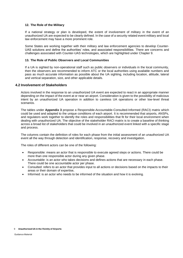#### **12. The Role of the Military**

If a national strategy or plan is developed, the extent of involvement of military in the event of an unauthorized UA are expected to be clearly defined. In the case of a security related event military and local law enforcement may have a more prominent role.

Some States are working together with their military and law enforcement agencies to develop Counter-UAS solutions and define the authorities' roles, and associated responsibilities. There are concerns and challenges associated with Counter-UAS technologies, which are highlighted under Chapter 9.

#### **13. The Role of Public Observers and Local Communities**

If a UA is sighted by non-operational staff such as public observers or individuals in the local community, then the observers are recommended to inform ATC or the local authorities using available numbers and pass as much accurate information as possible about the UA sighting, including location, altitude, lateral and vertical separation, size, and other applicable details.

#### **4.2 Involvement of Stakeholders**

Actors involved in the response to an unauthorized UA event are expected to react in an appropriate manner depending on the impact of the event at or near an airport. Consideration is given to the possibility of malicious intent by an unauthorized UA operation in addition to careless UA operations or other low-level threat scenarios.

The tables under **Appendix 3** propose a Responsible-Accountable-Consulted-Informed (RACI) matrix which could be used and adapted to the unique conditions of each airport. It is recommended that airports, ANSPs, and regulators work together to identify the roles and responsibilities that fit for their local environment when dealing with unauthorized UA. The objective of the stakeholder RACI matrix is to create a baseline of thinking across a broad list of stakeholders that could be involved in an unauthorized event linked with a specific stage and process.

The columns contain the definition of roles for each phase from the initial assessment of an unauthorized UA event all the way through detection and identification, response, recovery and investigation.

The roles of different actors can be one of the following:

- Responsible: means an actor that is responsible to execute agreed steps or actions. There could be more than one responsible actor during any given phase.
- Accountable: is an actor who takes decisions and defines actions that are necessary in each phase. There could be one accountable actor per phase.
- Consulted: refers to an actor that provides input to all actions or decisions based on the impacts to their areas or their domain of expertise,
- Informed: is an actor who needs to be informed of the situation and how it is evolving.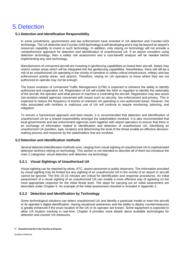# <span id="page-9-0"></span>5.Detection

### **5.1 Detection and Identification Responsibility**

In some jurisdictions, governments and law enforcement have invested in UA detection and Counter-UAS technology. The UA detection and Counter-UAS technology is still developing and it may be beyond an airport's resources capability to invest in such technology. In addition, only relying on technology will not provide a comprehensive approach for detection and identification of unauthorized UA. If an airport considers using detection technology, then a safety risk assessment and a cost-benefit analysis will be needed before implementing any new technology.

Manufacturers of unmanned aircraft are investing in geofencing capabilities on board their aircraft. States may restrict certain areas which will be integrated into the geofencing capabilities. Nonetheless, there will still be a risk of an unauthorized UA operating in the vicinity of sensitive or safety-critical infrastructure, military and law enforcement activity areas, and airports. Therefore, relying on UA operators to know where they are not authorized to operate may not be enough.

The future evolution of Unmanned Traffic Management (UTM) is expected to enhance the ability to identify authorized and cooperative UA. Registration of UA will enable the NAA or regulator to identify the nationality of the aircraft, the operator and what person or machine is controlling the aircraft. Registration may also assist non-aviation-related agencies concerned with issues such as security, law enforcement and privacy. This is expected to reduce the frequency of events of unknown UA operating in non-authorized areas. However, the risks associated with reckless or malicious use of UA will continue to require monitoring, planning, and mitigation.

To ensure a harmonized approach and best results, it is recommended that detection and identification of unauthorized UA be a shared responsibility amongst the stakeholders involved. It is also recommended that local governments and law enforcement agencies work together with airport operators to ensure that there is an exchange of information related to identification and detection of unauthorized UA. Identifying an unauthorized UA (position, type, location) and determining the level of the threat enable an effective decisionmaking process and response by the stakeholders that are involved.

#### **5.2 Detection and identification methods**

Several detection/identification methods exist, ranging from visual sighting of unauthorized UA to sophisticated detection technics relying on technology. This section is not intended to describe all of them but introduce the main 2 categories: visual detection and detection via technology.

### **5.2.1 Visual Sightings of Unauthorized UA**

Visual sighting can be reported by pilots, ATC, airport personnel or public observers. The information provided by visual sighting may be limited but any sighting of an unauthorized UA in the vicinity of an airport or aircraft cannot be ignored. The first 10-15 minutes are critical for identification and response procedures. An initial assessment of a visual sighting of an unauthorized UA can enable a more effective way of agreeing on the most appropriate response for the initial threat level. The steps for carrying out an initial assessment are described under Chapter 6. An example of the initial assessment checklist is included in Appendix 2.

### **5.2.2 Detection and Identification by Technology**

Some technological solutions can detect unauthorized UA and identify a particular model or even the aircraft or its operator's digital identification. Having situational awareness and the ability to deploy countermeasures is greatly enhanced if the exact location of the UA or its operator are known. Some equipment is expected to allow UA location tracking in real-time. Chapter 9 provides more details about available technologies for detection and counter UA measures.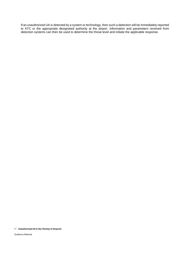If an unauthorized UA is detected by a system or technology, then such a detection will be immediately reported to ATC or the appropriate designated authority at the airport. Information and parameters received from detection systems can then be used to determine the threat level and initiate the applicable response.

#### 11 **Unauthorized UA in the Vicinity of Airports**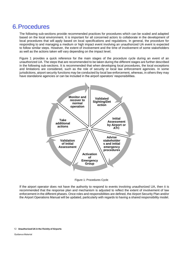# <span id="page-11-0"></span>6.Procedures

The following sub-sections provide recommended practices for procedures which can be scaled and adapted based on the local environment. It is important for all concerned actors to collaborate in the development of local procedures that will apply based on local specifications and regulations. In general, the procedure for responding to and managing a medium or high impact event involving an unauthorized UA event is expected to follow similar steps. However, the extent of involvement and the time of involvement of some stakeholders as well as the actions taken will vary depending on the impact level.

Figure 1 provides a quick reference for the main stages of the procedure cycle during an event of an unauthorized UA. The steps that are recommended to be taken during the different stages are further described in the following sub-sections. It is recommended that when developing local procedures, the local exceptions and limitations are considered, such as the role of security or local law enforcement agencies. In some jurisdictions, airport security functions may be conducted by local law enforcement, whereas, in others they may have standalone agencies or can be included in the airport operators' responsibilities.



Figure 1: Procedures Cycle

If the airport operator does not have the authority to respond to events involving unauthorized UA, then it is recommended that the response plan and mechanism is adjusted to reflect the extent of involvement of law enforcement in the different phases. Once roles and responsibilities are defined, the Airport Security Plan and/or the Airport Operations Manual will be updated, particularly with regards to having a shared responsibility model.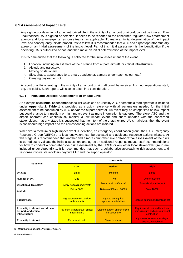### **6.1 Assessment of Impact Level**

Any sighting or detection of an unauthorized UA in the vicinity of an airport or aircraft cannot be ignored. If an unauthorized UA is sighted or detected, it needs to be reported to the concerned regulator, law enforcement agency and local emergency response teams, as applicable. To make an initial determination of the impact level and consequently initiate procedures to follow, it is recommended that ATC and airport operator mutually agree on an **initial assessment** of the impact level. Part of this initial assessment is the identification if the operating UA is authorized or not, and then make an initial determination of the impact level.

It is recommended that the following is collected for the initial assessment of the event;

- 1. Location, including an estimate of the distance from airport, aircraft, or critical infrastructure.
- 2. Altitude and trajectory.
- 3. Moving or stationary.
- 4. Size, shape, appearance (e.g. small, quadcopter, camera underneath, colour, etc.).
- 5. Carrying payload or not.

A report of a UA operating in the vicinity of an airport or aircraft could be received from non-operational staff, e.g. the public. Such reports will also be taken into consideration.

#### **6.1.1 Initial and Detailed Assessments of Impact Level**

An example of an **initial assessment** checklist which can be used by ATC and/or the airport operator is included under **Appendix 2**. **Table 1** is provided as a quick reference with all parameters needed for the initial assessment to be conducted by ATC and/or the airport operator. An event may be categorized as low impact but could change to a medium or high impact event as more information is gathered. Therefore, ATC and the airport operator can continuously monitor a low impact event and share updates with the concerned stakeholders. If at any stage it is suspected that the intent of the unauthorized UA is malicious, then the event is considered high impact and the corresponding actions are initiated.

Whenever a medium or high impact event is identified, an emergency coordination group, the UAS Emergency Response Group (UERG) or a local equivalent, can be activated and additional response actions initiated. At this stage, it is recommended that another and a more comprehensive **collaborative assessment** of the risks is carried out to validate the initial assessment and agree on additional response measures. Recommendations for how to conduct a comprehensive risk assessment by the UREG or any other local stakeholder group are included under Appendix 1. It is recommended that such a collaborative approach to risk assessment and response involve stakeholders beyond ATC and the airport operator.

| <b>Parameter</b>                                                             | <b>Thresholds</b>                                  |                                                    |                                                                                               |  |  |
|------------------------------------------------------------------------------|----------------------------------------------------|----------------------------------------------------|-----------------------------------------------------------------------------------------------|--|--|
|                                                                              | Low                                                | <b>Medium</b>                                      | <b>High</b>                                                                                   |  |  |
| <b>UA Size</b>                                                               | <b>Small</b>                                       | <b>Medium</b>                                      | Large                                                                                         |  |  |
| Number of UA                                                                 | One                                                | <b>Two</b>                                         | <b>One or Several</b>                                                                         |  |  |
| <b>Direction &amp; Trajectory</b>                                            | Away from airport/aircraft                         | Towards airport/aircraft                           | <b>Towards airport/aircraft</b>                                                               |  |  |
| <b>Altitude</b>                                                              | Below 500ft                                        | Between 500 and 1000ft                             | Over 1000ft                                                                                   |  |  |
| <b>Flight Phase</b>                                                          | Sighted/Detected outside<br>traffic circuits       | Sighted during final<br>approach/initial climb     | <b>Sighted during Landing/Take-off</b>                                                        |  |  |
| Proximity to airport, aerodrome,<br>heliport, and critical<br>infrastructure | Far from airport and/or critical<br>infrastructure | Close to airport and/or critical<br>infrastructure | <b>Right over airport and/or critical</b><br>infrastructure and causing visual<br>obstruction |  |  |
| <b>Proximity to aircraft</b>                                                 | <b>Far from aircraft</b>                           | Close to aircraft                                  | <b>Right next to aircraft fuselage,</b><br>engine, windshield                                 |  |  |

#### 13 **Unauthorized UA in the Vicinity of Airports**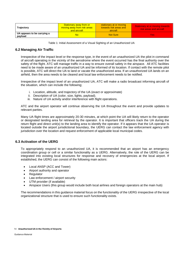| <b>Trajectory</b>                      | Stationary away from or<br>moving away from risk areas<br>and aircraft | stationary at or moving<br>towards risk areas and<br>aircraft | Stationary at or moving towards<br>risk areas and aircraft |
|----------------------------------------|------------------------------------------------------------------------|---------------------------------------------------------------|------------------------------------------------------------|
| UA appears to be carrying a<br>payload | No                                                                     | <b>Not Sure</b>                                               | Yes:                                                       |

Table 1: Initial Assessment of a Visual Sighting of an Unauthorized UA

### **6.2 Managing Air Traffic**

Irrespective of the impact level or the response type, in the event of an unauthorized UA the pilot in command of aircraft operating in the vicinity of the aerodrome where the event occurred has the final authority over the safety of the flight. ATC will manage traffic in a way to ensure overall safety in the airspace. All ATC facilities need to be made aware of an unauthorized UA and be informed of its location. If contact with the remote pilot is possible, ATC will direct the UA to land or vacate the unauthorized area. If an unauthorized UA lands on an airfield, then the area needs to be cleared and local law enforcement needs to be notified.

Irrespective of the impact level of an unauthorized UA, ATC will make a radio broadcast informing aircraft of the situation, which can include the following;

- i. Location, altitude, and trajectory of the UA (exact or approximate)
- ii. Description of UA (color, size, lights, payload).
- iii. Nature of UA activity and/or interference with flight operations.

ATC and the airport operator will continue observing the UA throughout the event and provide updates to relevant parties.

Many UA flight times are approximately 20-30 minutes, at which point the UA will likely return to the operator or designated landing area for retrieval by the operator. It is important that officers track the UA during the return flight and direct unit(s) to the landing area to identify the operator. If it appears that the UA operator is located outside the airport jurisdictional boundary, the UERG can contact the law enforcement agency with jurisdiction over the location and request enforcement of applicable local municipal codes.

#### **6.3 Activation of the UERG**

To appropriately respond to an unauthorized UA, it is recommended that an airport has an emergency coordination group or cell or a similar functionality as a UERG. Alternatively, the role of the UERG can be integrated into existing local structures for response and recovery of emergencies at the local airport. If established, the UERG can consist of the following main actors:

- Local ANSP (ACC and Tower)
- Airport authority and operator
- **Regulator**
- Law enforcement / airport security
- UTM provider (if available)
- Airspace Users (this group would include both local airlines and foreign operators at the main hub)

The recommendations in this guidance material focus on the functionality of the UERG irrespective of the local organizational structure that is used to ensure such functionality exists.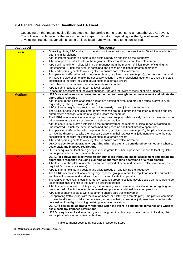### **6.4 General Response to an Unauthorized UA Event**

Depending on the impact level, different steps can be carried out in response to an unauthorized UA event. The following table reflects the recommended steps to be taken depending on the type of event. When developing procedures, variations based on local legal frameworks need to be considered.

| <b>Impact Level</b> | <b>Response</b>                                                                                                                                                                  |
|---------------------|----------------------------------------------------------------------------------------------------------------------------------------------------------------------------------|
| Low                 | Operating pilots, ATC and airport operator continue monitoring the situation for 60 additional minutes<br>$\bullet$                                                              |
|                     | after the initial sighting                                                                                                                                                       |
|                     | ATC to inform neighboring sectors and pilots already on and joining the frequency.<br>$\bullet$                                                                                  |
|                     | ATC or airport operator to inform the regulator, affected authorities and law enforcement.<br>$\bullet$                                                                          |
|                     | ATC continue to inform pilots joining the frequency from the moment of initial report of sighting an<br>$\bullet$                                                                |
|                     | unauthorized UA until the event is contained and poses no additional threat to operations<br>ATC and operating pilots to work together to ensure safe traffic movement           |
|                     | For operating traffic (either with the pilot on board, or piloted by a remote pilot), the pilots in command<br>$\bullet$                                                         |
|                     | will have the discretion to take the necessary actions in their professional judgment to ensure the safe                                                                         |
|                     | conclusion of the flight including deviating to an alternate airport                                                                                                             |
|                     | If no other report is received continue operations as normal<br>$\bullet$                                                                                                        |
|                     | ATC to submit a post-event report to local regulator<br>$\bullet$                                                                                                                |
|                     | In case the assessment of the event changes, upgrade the event to medium or high impact.                                                                                         |
| <b>Medium</b>       | UERG (or equivalent) is activated to conduct more thorough impact assessment and initiate the<br>$\bullet$                                                                       |
|                     | appropriate response                                                                                                                                                             |
|                     | ATC to ensure the pilots of affected aircraft are notified of event and provided traffic information, as<br>$\bullet$                                                            |
|                     | required (e.g. change runway, diverted).                                                                                                                                         |
|                     | ATC to inform neighboring sectors and pilots already on and joining the frequency.<br>$\bullet$                                                                                  |
|                     | The UERG or equivalent local emergency response group to inform the regulator, authorities and law<br>$\bullet$<br>enforcement and work with them to try and locate the operator |
|                     | The UERG or equivalent local emergency response group to collaboratively decide on measures to be<br>$\bullet$                                                                   |
|                     | taken to minimize the risk of the event on airport operation                                                                                                                     |
|                     | ATC to continue to inform pilots joining the frequency from the moment of initial report of sighting an<br>$\bullet$                                                             |
|                     | unauthorized UA until the event is contained and poses no additional threat to operations                                                                                        |
|                     | For operating traffic (either with the pilot on board, or piloted by a remote pilot),, the pilots in command<br>$\bullet$                                                        |
|                     | to have the discretion to take the necessary actions in their professional judgment to ensure the safe                                                                           |
|                     | conclusion of the flight including deviating to an alternate airport                                                                                                             |
|                     | ATC and operating pilots to work together to ensure safe traffic movement<br>$\bullet$                                                                                           |
|                     | UERG to decide collaboratively regarding when the event is considered contained and when to<br>$\bullet$<br>scale back any imposed restrictions                                  |
|                     | UERG or equivalent local emergency response group to submit a post-event report to local regulator                                                                               |
|                     | and applicable law enforcement authorities.                                                                                                                                      |
| <b>High</b>         | UERG (or equivalent) is activated to conduct more thorough impact assessment and initiate the<br>$\bullet$                                                                       |
|                     | appropriate response including planning about restricting operations or airport closure                                                                                          |
|                     | ATC to ensure the pilots of affected aircraft are notified of event and provided traffic information, as<br>$\bullet$                                                            |
|                     | required (e.g. airspace closure).                                                                                                                                                |
|                     | ATC to inform neighboring sectors and pilots already on and joining the frequency.                                                                                               |
|                     | The UERG or equivalent local emergency response group to inform the regulator, affected authorities<br>$\bullet$                                                                 |
|                     | and law enforcement and work with them to try and locate the operator                                                                                                            |
|                     | The UERG or equivalent local emergency response group to collaboratively decide on measures to be<br>taken to minimize the risk of the event on airport operation                |
|                     | ATC to continue to inform pilots joining the frequency from the moment of initial report of sighting an<br>٠                                                                     |
|                     | unauthorized UA until the event is contained and poses no additional threat to operations                                                                                        |
|                     | ATC and operating pilots to work together to ensure safe traffic movement                                                                                                        |
|                     | For operating traffic (either with the pilot on board, or piloted by a remote pilot),, the pilots in command                                                                     |
|                     | to have the discretion to take the necessary actions in their professional judgment to ensure the safe                                                                           |
|                     | conclusion of the flight including deviating to an alternate airport.                                                                                                            |
|                     | UERG to decide collaboratively regarding when the event is considered contained and when to                                                                                      |
|                     | scale back any imposed restrictions                                                                                                                                              |
|                     | UERG or equivalent local emergency response group to submit a post-event report to local regulator<br>and applicable law enforcement authorities.                                |

Table 2: Impact Level and Associated Response Steps

15 **Unauthorized UA in the Vicinity of Airports**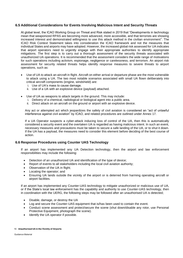### **6.5 Additional Considerations for Events Involving Malicious Intent and Security Threats**

At global level, the ICAO Working Group on Threat and Risk stated in 2019 that "Developments in technology mean that weaponized RPAS are becoming more advanced, more accessible, and that terrorists are showing increased interest and demonstrated willingness to use this attack method in the civilian environment". The ICAO Risk Context Statement takes into consideration the ICAO framework and not the measures that individual States and airports may have adopted. However, the increased global risk assessed for UA indicates that airport operators need to urgently engage with their appropriate authorities to identify appropriate mitigations. The first step is to carry out a thorough assessment of the security threats associated with unauthorized UA operations. It is recommended that the assessment considers the wide range of motivations for such operations including activism, espionage, negligence or carelessness, and terrorism. An airport risk assessment for security related threats helps identify response measures to severe threats to airport operations, such as:

- Use of UA to attack an aircraft in flight. Aircraft on either arrival or departure phase are the most vulnerable to attack using a UA. The two most notable scenarios associated with small UA flown deliberately into critical aircraft components (engine, windshield) are:
	- i. Use of UA's mass to cause damage.
	- ii. Use of a UA with an explosive device (payload) attached.
- Use of UA as weapons to attack targets in the ground. This may include:
	- i. Delivery of a chemical, radiological or biological agent into a public area.
	- ii. Direct attack on an aircraft on the ground or airport with an explosive device.

Any act or attempted act which jeopardizes the safety of civil aviation is considered an "act of unlawful interference against civil aviation" by ICAO, and related procedures are outlined under Annex 17.

If a UA Operator suspects a cyber-attack inducing loss of control of the UA, then this is automatically considered a security event and the overtaken UA is regarded as having malicious intent. In such an event, necessary measures and precautions must be taken to secure a safe landing of the UA, or to shut it down. If the UA has a payload, the measures need to consider this element before deciding of the best course of action.

#### **6.6 Response Procedures using Counter UAS Technology**

If an airport has implemented any UA Detection technology, then the airport and law enforcement responsibilities may include the following:

- Detection of an unauthorized UA and identification of the type of device;
- Report of events to all stakeholders including the local civil aviation authority;
- Observation of the UA in flight;
- Locating the operator; and
- Ensuring UA lands outside the vicinity of the airport or is deterred from harming operating aircraft or airport facilities.

If an airport has implemented any Counter-UAS technology to mitigate unauthorized or malicious use of UA, or if the State's local law enforcement has the capability and authority to use Counter-UAS technology, then in coordination with the UERG, the following steps may be followed after an unauthorised UA is detected;

- Disable, damage, or destroy the UA
- Log and secure the Counter-UAS equipment that is/has been used to contain the event.
- Conduct scene assessment and protect/secure the scene (shut down/disable any rotor, use Personal Protective Equipment, photograph the scene).
- Identify the UA operator if possible.

#### 16 **Unauthorized UA in the Vicinity of Airports**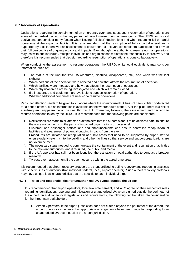### **6.7 Recovery of Operations**

Declarations regarding the containment of an emergency event and subsequent resumption of operations are some of the hardest decisions that key personnel have to make during an emergency. The UERG, or its local equivalent, can consider many factors when issuing "all clear" declarations and when resuming full or partial operations at the airport or facility. It is recommended that the resumption of full or partial operations is supported by a collaborative risk assessment to ensure that all relevant stakeholders participate and provide their full perspective of ongoing activity and impacts. Even though the authority to resume normal operations may rest with one individual, multiple individuals and organizations maintain the responsibility for recovery and therefore it is recommended that decision regarding resumption of operations is done collaboratively.

When conducting the assessment to resume operations, the UERG, or its local equivalent, may consider information, such as;

- 1. The status of the unauthorized UA (captured, disabled, disappeared, etc.) and when was the last sighting.
- 2. Which portions of the operation were affected and how that affects the resumption of operation.
- 3. Which facilities were impacted and how that affects the resumption of operation.
- 4. Which physical areas are being investigated and which will remain closed.
- 5. If all resources and equipment are available to support resumption of operation.
- 6. Whether additional personnel are needed to resume operations.

Particular attention needs to be given to situations where the unauthorized UA has not been sighted or detected for a period of time, but no information is available on the whereabouts of the UA or the pilot. There is a risk of a subsequent reappearance of the unauthorized UA. Therefore, following the assessment and decision to resume operations taken by the UERG, it is recommended that the following points are considered:

- 1. Notifications are made to all affected stakeholders that the airport is about to be declared safe, to ensure there are no concerns on the parts of impacted organizations or personnel.
- 2. Customer and passenger notifications and announcements can ensure controlled repopulation of facilities and awareness of potential ongoing impacts from the event.
- 3. Procedures are initiated for repopulation of public areas that need to be supported by airport staff to ensure orderly re-entry into the building and other facilities so that service and support organizations are not overwhelmed.
- 4. The necessary steps needed to communicate the containment of the event and resumption of activities to the relevant authorities, and if required, the public and media.
- 5. If the UA operator has still not been identified, the activation of local authorities to conduct a broader research
- 6. TA post-event assessment if the event occurred within the aerodrome area.

It is recommended that airport recovery protocols are standardized to define recovery and reopening practices with specific lines of authority (transnational, federal, local, airport operator). Such airport recovery protocols may have unique local characteristics that are specific to each individual airport.

#### **6.7.1 Roles and responsibilities for unauthorized UA events outside the airport**

It is recommended that airport operators, local law enforcement, and ATC agree on their respective roles regarding identification, reporting and mitigation of unauthorized UA when sighted outside the perimeter of the airport. In addition to local legislations and requirements, the following can be taken into consideration for the three main stakeholders:

1. Airport Operators: if the airport jurisdiction does not extend beyond the perimeter of the airport, the airport operator can ensure that appropriate arrangements have been made for responding to an unauthorized UA event outside the airport jurisdiction.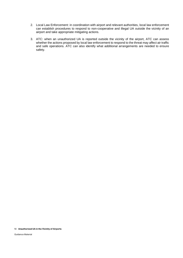- 2. Local Law Enforcement: in coordination with airport and relevant authorities, local law enforcement can establish procedures to respond to non-cooperative and illegal UA outside the vicinity of an airport and take appropriate mitigating actions.
- 3. ATC: when an unauthorized UA is reported outside the vicinity of the airport, ATC can assess whether the actions proposed by local law enforcement to respond to the threat may affect air traffic and safe operations. ATC can also identify what additional arrangements are needed to ensure safety.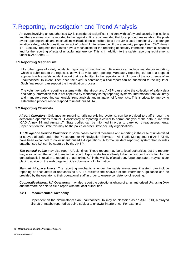# <span id="page-18-0"></span>7.Reporting, Investigation and Trend Analysis

An event involving an unauthorised UA is considered a significant incident with safety and security implications and therefore needs to be reported to the regulator. It is recommended that local procedures establish the postevent reporting criteria and mechanism, with additional considerations if the UA is used intentionally to endanger aviation safety, which constitutes an act of unlawful interreference. From a security perspective, ICAO Annex 17 – Security, requires that States have a mechanism for the reporting of security information from all sources and for the reporting of acts of unlawful interference. This is in addition to the safety reporting requirements under ICAO Annex 19.

### **7.1 Reporting Mechanism**

Like other types of safety incidents, reporting of unauthorized UA events can include mandatory reporting, which is submitted to the regulator, as well as voluntary reporting. Mandatory reporting can be in a stepped approach with a safety incident report that is submitted to the regulator within 3 hours of the occurrence of an unauthorized UA event. Then once the event is contained; a final report can be submitted to the regulator. Such final report can support the investigation process.

The voluntary safety reporting systems within the airport and ANSP can enable the collection of safety data and safety information that is not captured by mandatory safety reporting systems. Information from voluntary and mandatory reporting can enable trend analysis and mitigation of future risks. This is critical for improving established procedures to respond to unauthorized UA.

### **7.2 Reporting Channels**

*Airport Operators:* Guidance for reporting, utilising existing systems, can be provided to staff through the aerodrome operations manual. Consistency of reporting is critical to permit analysis of the data in line with ICAO Annex 19 and Annex 17. State bodies can be informed in order to carry out threat assessments. Dependent on the State this may be the police or other State security organisations.

*Air Navigation Service Providers*: In some cases, tactical measures and reporting in the case of unidentified or strayed aircraft, under the Procedures for Air Navigation Services – Air Traffic Management (PANS-ATM), have been expanded to cover unauthorised UA operations. A formal incident reporting system that includes unauthorised UA can be captured by the ANSP.

*The general public* may also report UA sightings. These reports may be to local authorities, but the reporter may also contact the airport to make the report. Airport websites are likely to be the first point of contact for the general public in relation to reporting unauthorized UA in the vicinity of an airport. Airport operators may consider placing advice on the web page to guide submission of information.

*Manned Airspace Users*: The reporting mechanisms under the safety management system can include reporting of encounters of unauthorized UA. To facilitate the analysis of the information, guidance can be provided by the operator to their operational staff in order to ensure consistency of reporting.

*Cooperative/Known UA Operators:* may also report the detection/sighting of an unauthorized UA, using DAA and therefore be able to file a report with the local authorities.

#### **7.2.1 Recommended Taxonomy**

Dependent on the circumstances an unauthorised UA may be classified as an AIRPROX, a strayed aircraft or maybe reported as being subject to unlawful interference. For example: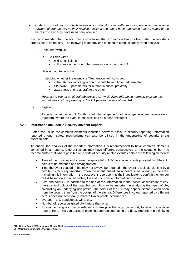• *An Airprox is a situation in which, in the opinion of a pilot or air traffic services personnel, the distance between aircraft as well as their relative positions and speed have been such that the safety of the aircraft involved may have been compromised.<sup>3</sup>*

It is recommended that the occurrence type follow the taxonomy utilized by the State, the reporter's organization, or industry. The following taxonomy can be used to conduct safety trend analysis:

- i. Encounter with UA
	- Collision with UA
		- mid-air collisions
		- collisions on the ground between an aircraft and an UA
- ii. Near encounter with UA

In deciding whether the event is a 'Near encounter', consider:

- if the UA took avoiding action or would have if time had permitted.
- State/ANSP parameters for aircraft in critical proximity
- awareness of one aircraft to the other

*Note: If the pilot of an aircraft observes a UA while flying this would normally indicate the aircraft was in close proximity to the UA (due to the size of the UA).*

iii. Sighting

Reported observation of UA within controlled airspace (or other airspace where permission is required), where the event is not classified as a near encounter.

#### **7.2.2 Information Included in Security Incident Reports**

States can utilise the common elements identified below to assist in security reporting. Information reported through safety mechanisms can also be utilised in the undertaking of security threat assessments.

To enable the analysis of the reported information it is recommended to have common elements contained in all reports. Different actors may have different perspectives of the scenario, but it is recommended that where possible all reports of security related events contain the following elements:

- Time of the observation/occurrence –provided in UTC to enable reports provided by different actors to be matched and amalgamated.
- Time the event ceased this may not always be required if the event is a single sighting by a pilot but is tactically important when the unauthorised UA appears to be loitering in the area. Including this information in the post event report permits the investigator to confirm the number of UA based on expected battery life and my provide information on intent.
- Size and colour In addition to the use of this information in the tactical assessment of risk, the size and colour of the unauthorized UA may be important in analysing the types of UA, calculating an underlying risk profile. The colour of the UA may appear different when seen from the ground than from the cockpit of the aircraft. Differences in colour reported by different actors does not necessarily indicate two separate occurrences.
- UA type e.g. quadcopter, wing, etc.
- Number of reported/sighted UA if more than one.
- Position using a common reference where possible, e.g. the airport, to base the multiple reports from. This can assist in matching and amalgamating the data. Reports in proximity to

<sup>20</sup> **Unauthorized UA in the Vicinity of Airports <sup>3</sup> UK Airprox Board 2015, accessed 15 July 2020, <https://www.airproxboard.org.uk/home/>**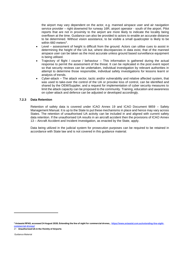the airport may vary dependent on the actor, e.g. manned airspace user and air navigation service provider – right downwind for runway 16R, airport operator - south of the airport. Pilot reports that are not in proximity to the airport are more likely to indicate the locality being overflown at the time. Guidance can also be provided to actors to enable an accurate distance to be determined. Without vision assistance, to be visible a small quadcopter is likely to be within 660 meters<sup>4</sup>.

- Level assessment of height is difficult from the ground. Actors can utilise cues to assist in determining the height of the UA but, where discrepancies in data exist, that of the manned airspace user can be taken as the most accurate unless ground based surveillance equipment is being utilised.
- Trajectory of flight / course / behaviour This information is gathered during the actual response to permit the assessment of the threat. It can be replicated in the post event report so that security reviews can be undertaken, individual investigation by relevant authorities in attempt to determine those responsible, individual safety investigations for lessons learnt or analysis of trends.
- Cyber-attack The attack vector, tactic and/or vulnerability and relative affected system, that was used to take-over the control of the UA or provoke loss of control, can be identified and shared by the OEM/Supplier, and a request for implementation of cyber security measures to limit the attack capacity can be proposed to the community. Training, education and awareness on cyber-attack and defence can be adjusted or developed accordingly.

#### **7.2.3 Data Retention**

Retention of safety data is covered under ICAO Annex 19 and ICAO Document 9859 – Safety Management Manual. It is up to the State to put these mechanisms in place and hence may vary across States. The retention of unauthorised UA activity can be included in and aligned with current safety data retention. If the unauthorised UA results in an aircraft accident then the provisions of ICAO Annex 13 – Aircraft Accident and Incident Investigation, as enacted by the State, apply.

Data being utilized in the judicial system for prosecution purposes can be required to be retained in accordance with State law and is not covered in this guidance material.

**<sup>4</sup> Aviassist RPAS, accessed 24 August 2020, Extending the line of sight for commercial drones, [, https://www.aviassist.com.au/extending-line-sight](https://www.aviassist.com.au/extending-line-sight-commercial-drones/)[commercial-drones/](https://www.aviassist.com.au/extending-line-sight-commercial-drones/)**

<sup>21</sup> **Unauthorized UA in the Vicinity of Airports**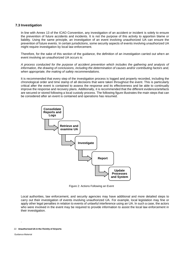### **7.3 Investigation**

In line with Annex 13 of the ICAO Convention, any investigation of an accident or incident is solely to ensure the prevention of future accidents and incidents. It is not the purpose of this activity to apportion blame or liability. Using the same principle, an investigation of an event involving unauthorized UA can ensure the prevention of future events. In certain jurisdictions, some security aspects of events involving unauthorized UA might require investigation by local law enforcement.

Therefore, for the sake of this section of the guidance, the definition of an investigation carried out when an event involving an unauthorized UA occurs is:

*A process conducted for the purpose of accident prevention which includes the gathering and analysis of information, the drawing of conclusions, including the determination of causes and/or contributing factors and, when appropriate, the making of safety recommendations.*

It is recommended that every step of the investigation process is logged and properly recorded, including the chronological order and time stamp of all decisions that were taken throughout the event. This is particularly critical after the event is contained to assess the response and its effectiveness and be able to continually improve the response and recovery plans. Additionally, it is recommended that the different evidence/artefacts are secured or stored following a local custody process. The following figure illustrates the main steps that can be considered after an event is contained and operations has resumed.



Figure 2: Actions Following an Event

Local authorities, law enforcement, and security agencies may have additional and more detailed steps to carry out their investigation of events involving unauthorized UA. For example, local legislation may fine or apply other legal penalties in relation to events of unlawful interference using an UA. In such a case, the actors who were involved in the event may be required to provide information to assist the local law enforcement in their investigation.

#### 22 **Unauthorized UA in the Vicinity of Airports**

Guidance Material

.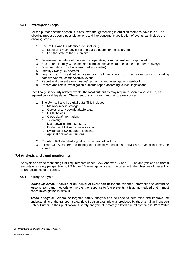#### **7.3.1 Investigation Steps**

For the purpose of this section, it is assumed that geofencing interdiction methods have failed. The following proposes some possible actions and interventions. Investigation of events can include the following steps:

- 1. Secure UA and UA identification, including:
	- a. Identifying main device(s) and paired equipment, cellular, etc.
	- b. Log the state of the UA on site
- 2. Determine the nature of the event; cooperative, non-cooperative, weaponized.
- 3. Secure and identify witnesses and conduct interviews (at the scene and after recovery).
- 4. Download data from UA operator (if accessible).
- 5. Identify / Notify UA operator.
- 6. Log in an investigation casebook, all activities of the investigation including date/time/name/location/activity/event.
- 7. Report and present eyewitnesses' testimony, and investigation casebook.
- 8. Record and retain investigation outcome/report according to local legislations.

Specifically, in security related events, the local authorities may require a search and seizure, as required by local legislation. The extent of such search and seizure may cover:

- 1. The UA itself and its digital data. This includes:
	- a. Memory media storage
	- b. Copies of any downloadable data.
	- c. UA flight logs.
	- d. Cloud data/information.
	- e. Telemetry.
	- f. Data downlink from sensors.
	- g. Evidence of UA registry/certification.
	- h. Evidence of UA operator licensing.
	- i. Application/Server versions.
- 2. Counter-UAS identified signal recording and other logs.
- 3. Airport CCTV cameras to identify other sensitive locations, activities or events that may be linked

#### **7.4 Analysis and trend monitoring**

Analysis and trend monitoring fulfil requirements under ICAO Annexes 17 and 19. The analysis can be from a security or a safety perspective. ICAO Annex 13 investigations are undertaken with the objective of preventing future accidents or incidents.

#### **7.4.1 Safety Analysis**

*Individual event:* Analysis of an individual event can utilise the reported information to determine lessons learnt and methods to improve the response to future events. It is acknowledged that in most cases investigation is difficult.

*Trend Analysis:* General or targeted safety analysis can be used to determine and improve the understanding of the transport safety risk. Such an example was produced by the Australian Transport Safety Bureau in their publication: A safety analysis of remotely piloted aircraft systems 2012 to 2016: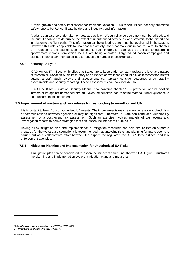A rapid growth and safety implications for traditional aviation.<sup>5</sup> This report utilised not only submitted safety reports but UA certificate holders and industry trend information.

Analysis can also be undertaken on detected activity. UA surveillance equipment can be utilised, and the output analysed to determine the extent of unauthorised activity in close proximity to the airport and in relation to the flight paths. This information can be utilised to determine the level of risk in the system. However, this risk is applicable to unauthorised activity that is not malicious in nature. Refer to chapter 9 in relation to the use of such equipment. Such information can also be utilised to determine approximate regions from which the UA are being operated. Targeted education campaigns and signage in parks can then be utilised to reduce the number of occurrences.

#### **7.4.2 Security Analysis**

ICAO Annex 17 – Security, implies that States are to keep under constant review the level and nature of threat to civil aviation within its territory and airspace above it and conduct risk assessment for threats against aircraft. Such reviews and assessments can typically consider outcomes of vulnerability assessments and security reporting. These assessments can now include UA.

ICAO Doc 8973 – Aviation Security Manual now contains chapter 19 – protection of civil aviation infrastructure against unmanned aircraft. Given the sensitive nature of the material further guidance is not provided in this document.

#### **7.5 Improvement of system and procedures for responding to unauthorized UA**

It is important to learn from unauthorised UA events. The improvements may be minor in relation to check lists or communications between agencies or may be significant. Therefore, a State can conduct a vulnerability assessment or a post event risk assessment. Such an exercise involves analysis of past events and investigation reports to derive strategies that can lessen the impact of future risks.

Having a risk mitigation plan and implementation of mitigation measures can help ensure that an airport is prepared for the worst-case scenario. It is recommended that analysing risks and planning for future events is carried out as a collaborative effort between the airport, the regulator, the ANSP, local airlines, and law enforcement agencies.

#### **7.5.1 Mitigation Planning and Implementation for Unauthorized UA Risks**

A mitigation plan can be considered to lessen the impact of future unauthorized UA. Figure 3 illustrates the planning and implementation cycle of mitigation plans and measures.

<sup>24</sup> **Unauthorized UA in the Vicinity of Airports <sup>5</sup> https://www.atsb.gov.au/publications/2017/ar-2017-016/**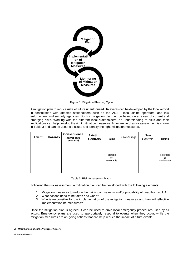

Figure 3: Mitigation Planning Cycle

A mitigation plan to reduce risks of future unauthorized UA events can be developed by the local airport in consultation with affected stakeholders such as the ANSP, local airline operators, and law enforcement and security agencies. Such a mitigation plan can be based on a review of current and emerging risks. Working with the different local stakeholders, an understanding of risks and their implications can help develop the right mitigation measures. An example of a risk assessment is shown in Table 3 and can be used to discuss and identify the right mitigation measures.

| <b>Event</b> | <b>Hazards</b> | <b>Consequence</b><br>(worst case<br>scenario) | <b>Existing</b><br><b>Controls</b> | Rating                         | Ownership | New<br>Controls | Rating                         |
|--------------|----------------|------------------------------------------------|------------------------------------|--------------------------------|-----------|-----------------|--------------------------------|
|              |                |                                                |                                    | Tolerable<br>or<br>Intolerable |           |                 | Tolerable<br>or<br>Intolerable |

#### Table 3: Risk Assessment Matrix

Following the risk assessment, a mitigation plan can be developed with the following elements:

- 1. Mitigation measures to reduce the risk impact severity and/or probability of unauthorized UA
- 2. What actions need to be taken and when?
- 3. Who is responsible for the implementation of the mitigation measures and how will effective implementation be measured?

Once the mitigation plan is agreed, it can be used to drive local emergency procedures used by all actors. Emergency plans are used to appropriately respond to events when they occur, while the mitigation measures are on-going actions that can help reduce the impact of future events.

25 **Unauthorized UA in the Vicinity of Airports**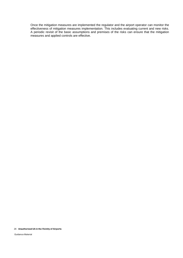Once the mitigation measures are implemented the regulator and the airport operator can monitor the effectiveness of mitigation measures implementation. This includes evaluating current and new risks. A periodic revisit of the basic assumptions and premises of the risks can ensure that the mitigation measures and applied controls are effective.

#### 26 **Unauthorized UA in the Vicinity of Airports**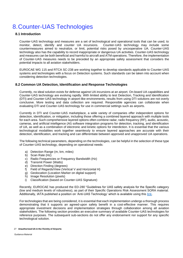# <span id="page-26-0"></span>8.Counter-UAS Technologies

## **8.1 Introduction**

Counter-UAS technology and measures are a set of technological and operational tools that can be used, to monitor, detect, identify and counter UA incursions. Counter-UAS technology may include some countermeasures aimed to neutralize, or limit, potential risks posed by uncooperative UA. Counter-UAS technology also has the capability to record inappropriate or dangerous UA activities. Counter-UAS technology and measures can be both beneficial and harmful to aircraft and ATM operations. Therefore, the implementation of Counter-UAS measures needs to be preceded by an appropriate safety assessment that considers the potential impacts to all aviation stakeholders.

EUROCAE WG 115 and RTCA SC-238 are working together to develop standards applicable to Counter-UAS systems and technologies with a focus on Detection systems. Such standards can be taken into account when considering detection technologies.

### **8.2 Common UA Detection, Identification and Response Technologies**

Currently, no ideal solution exists for defense against UA incursions at an airport. On-board UA capabilities and Counter-UAS technology are evolving rapidly. With limited ability to test Detection, Tracking and Identification (DTI) and Counter-UAS technology in airport-like environments, results from using DTI solutions are not overly conclusive. More testing and data collection are required. Responsible agencies can collaborate when evaluating DTI and Counter-UAS technology for use in commercial settings such as airports.

Currently in DTI and Counter-UAS marketplace, a wide variety of companies offer independent options for detection, identification, or mitigation, including those offering a combined layered approach with multiple tools for each area. Such comprehensive layered options often combine radar, radio frequency (RF), audio, acoustic, cameras, and artificial intelligence (AI) software integration programs for detection, tracking, and identification of UA, as well as a combination of electronic and kinetic options for interdiction. It is essential that the various technological modalities work together seamlessly to ensure layered approaches are accurate with their detection, identification, and tracking and can differentiate between approved and unapproved UA operations.

The following technical parameters, depending on the technologies, can be helpful in the selection of these type of Counter-UAS technology, depending on operational needs:

- a) Detection Range (m, km, miles)
- b) Scan Rate (Hz)
- c) Radio Frequencies or Frequency Bandwidth (Hz)
- d) Transmit Power (Watts)
- e) Direction Finding (degrees)
- f) Field of Regards/View (Vertical V and Horizontal H)
- g) Geolocation (Location Marker on digital support)
- h) Image Resolution (pixels)
- i) Classification (based on Counter-UAS Signature)

Recently, EUROCAE has produced the ED-280 "Guidelines for UAS safety analysis for the Specific category (low and medium levels of robustness), as part of their Specific Operations Risk Assessment SORA material. Additionally, IATA published a position on 'Anti-UAS Technology' which is available using this [link.](https://www.iata.org/contentassets/8c2566421a524258896e89aceb739333/1120june_information20iata20position20on2020anti-unmanned20aircraft20system20anti-uas20measures.pdf)

For technologies that are being considered, it is essential that each implementation undergo a thorough process demonstrating that it supports an agreed-upon safety benefit in a cost-effective manner. This requires appropriate investment decisions and implementation strategies through collaboration among all aviation stakeholders. The following section provides an executive summary of available Counter-UAS technologies for reference purposes. The subsequent sub-sections do not offer any endorsement nor support for any specific technological solution.

#### 27 **Unauthorized UA in the Vicinity of Airports**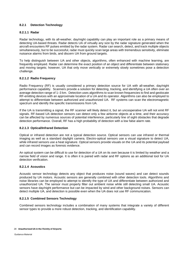### **8.2.1 Detection Technology**

#### **8.2.1.1 Radar**

Radar technology, with its all-weather, day/night capability can play an important role as a primary means of detecting UA-based threats. Radar detects UA of virtually any size by the radar signature generated when the aircraft encounters RF pulses emitted by the radar system. Radar can search, detect, and track multiple objects simultaneously, but to be successful, radar must quickly scan large areas with tremendous sensitivity, eliminate nuisance alarms from birds, and discern UA from ground targets.

To help distinguish between UA and other objects, algorithms, often enhanced with machine learning, are frequently employed. Radar can determine the exact position of an object and differentiate between stationary and moving targets; however, UA that only move vertically or extremely slowly sometimes pose a detection challenge.

#### **8.2.1.2 Radio Frequency**

Radio Frequency (RF) is usually considered a primary detection source for UA with all-weather, day/night performance capability. Scanners provide a solution for detecting, tracking, and identifying a UA often over an average detection range of 1–3 km. Detection uses algorithms to scan known frequencies to find and geolocate RF-emitting devices with an approximate location of a UA and its operator. Algorithms can also be employed to attempt to differentiate between authorized and unauthorized UA. RF systems can scan the electromagnetic spectrum and identify the specific transmissions from UA.

If the UA is transmitting a signal, the RF scanner will likely detect it, but an uncooperative UA will not emit RF signals. RF-based UA detection sensors can detect only a few airborne objects at a time, and their accuracy can be affected by numerous sources of potential interference, particularly line of sight obstacles that degrade detection performance. Overall, RF has a high probability of detection with a low false alarm rate.

#### **8.2.1.3 Optical/Infrared Detection**

Optical or infrared detection are not a typical detection source. Optical sensors can use infrared or thermal imaging as well as a standard daylight camera. Electro-optical sensors use a visual signature to detect UA, while infrared sensors use a heat signature. Optical sensors provide visuals on the UA and its potential payload and can record images as forensic evidence.

An optical system can be difficult to use for detection of a UA on its own because it is limited by weather and a narrow field of vision and range. It is often it is paired with radar and RF options as an additional tool for UA detection verification.

#### **8.2.1.4 Acoustics**

Acoustic sensor technology detects any object that produces noise (sound waves) and can detect sounds produced by UA motors. Acoustic sensors are generally combined with other detection tools. Algorithms and noise libraries can be employed to attempt to identify the type of UA and differentiate between authorized and unauthorized UA. The sensor must properly filter out ambient noise while still detecting small UA. Acoustic sensors have day/night performance but can be impacted by wind and other background noises. Sensors can detect multiple UA, and detection is possible even when the UA does not use RF communication.

#### **8.2.1.5 Combined Sensors Technology**

Combined sensors technology includes a combination of many systems that integrate a variety of different sensor types to provide a more robust detection, tracking, and identification capability.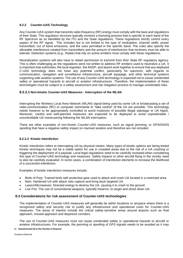#### **8.2.2 Counter-UAS Technology**

Any Counter-UAS system that transmits radio frequency (RF) energy must comply with the laws and regulations of their State. This regulatory structure typically involves a licensing process that is specific to each band of the RF Spectrum as so identified by the ITU and the State regulations. These regulations strictly control every aspect of the RF signal. This includes but is not limited to the type of modulation, channel width, power transmitted, out of band emissions, and the uses permitted in the specific band. The rules also specify the allowable interference created from transmitters and the amount of interference that receivers must be able to tolerate. Detection systems (e.g., Radar) that rely on active emitters must comply with these regulations.

Neutralization systems will also have to obtain permission to transmit from their State RF regulatory agency. This is often challenging as the regulations were not written to address RF emitters used to neutralize a UA. It is important that authorities, the local regulator, the ANSP, and airport work together to ensure that any deployed C-UAS technology does not have any potential conflict, particularly for spectrum, with regards to communication, navigation and surveillance infrastructure, aircraft equipage, and other technical systems supporting safe aviation systems. The use of any Counter-UAS technology is expected not to cause unintended safety or operational hazards to aircraft or aviation infrastructures. Therefore, the implementation of these technologies must be subject to a safety assessment and risk mitigation process to manage unintended risks.

#### **8.2.2.1 Non-kinetic Counter-UAS Measures - Interruption of the WLAN**

Interrupting the Wireless Local Area Network (WLAN) signal being used by some UA or broadcasting a set of radio-communication (RC) or computer commands to "take control" of the UA are possible. This technology needs however to be appropriately controlled to avoid instances of possible illegal sabotage or UA hijack. Moreover, careful and well-planned measures are expected to be deployed to avoid unpredictable / uncontrollable UA maneuvering following the WLAN interruption.

There are other examples of non-kinetic Counter-UAS measures. such as signal jamming, or GPS/GNSS spoofing that have a negative safety impact on manned aviation and therefore are not included.

#### **8.2.2.2 Kinetic Interdiction**

Kinetic interdiction refers to intercepting UA by physical means. Many types of kinetic options are being tested Kinetic techniques may not be a viable option for use in crowded areas due to the risk of a UA crashing or triggering the deployment of a payload. Local legal regulations need to be carefully reviewed when considering this type of Counter-UAS technology and measures. Safety impacts to other aircraft flying in the vicinity need to also be carefully evaluated. In some cases, a combination of interdiction elements to increase the likelihood of a successful interdiction.

Examples of kinetic interdiction measures include:

- Birds of Prey: Trained birds with protective gear used to attack and crash UA located in a restricted area.
- Nets: Hardened UA with attack nets capture and bring back targeted UA.
- Lasers/Microwaves: Directed energy to destroy the UA, causing it to crash to the ground.
- Live Fire: The use of conventional weapons, typically firearms, to target and shoot down UA.

#### **8.3 Considerations for risk assessment of Counter-UAS technologies**

The implementation of Counter-UAS measures will generally be within locations or airspace where there is a recognized safety and security risk to justify any infrastructure and operational costs for Counter-UAS measures. The areas of interest include the critical safety-sensitive areas around airports such as final approach, missed approach and departure corridors.

The use of Counter-UAS measures must not cause unintended safety or operational hazards to aircraft or aviation infrastructures. For example, the jamming or spoofing of GPS signals needs to be avoided as it may

#### 29 **Unauthorized UA in the Vicinity of Airports**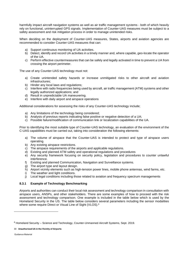harmfully impact aircraft navigation systems as well as air traffic management systems - both of which heavily rely on functional, uninterrupted GPS signals. Implementation of Counter-UAS measures must be subject to a safety assessment and risk mitigation process in order to manage unintended risks.

When deciding on the deployment of Counter-UAS measures, States, airports and aviation agencies are recommended to consider Counter-UAS measures that can:

- a) Support continuous monitoring of UA activities.
- b) Detect, identify and record UA activities in a timely manner and, where capable, geo-locate the operator of the UA.
- c) Perform effective countermeasures that can be safely and legally activated in time to prevent a UA from crossing the airport perimeter.

The use of any Counter-UAS technology must not:

- a) Create unintended safety hazards or increase unmitigated risks to other aircraft and aviation infrastructures;
- b) Hinder any local laws and regulations;
- c) Interfere with radio frequencies being used by aircraft, air traffic management (ATM) systems and other legally authorized applications; and
- d) Result in unpredictable UA maneuvering.
- e) Interfere with daily airport and airspace operations

Additional considerations for assessing the risks of any Counter-UAS technology include;

- a) Any limitations of the technology being considered;
- b) Analysis of previous reports indicating false positive or negative detection of a UA;
- c) Possible failure/modification of communication link or localization capabilities of the UA.

Prior to identifying the most suitable type of Counter-UAS technology, an evaluation of the environment of the C-UAS capabilities must be carried out, taking into consideration the following elements:

- a) The volume of airspace that the Counter-UAS is intended to protect and type of airspace users operating.
- b) Any existing airspace restrictions.
- c) The airspace requirements of the airports and applicable regulations.
- d) Existing and planned ATM safety and operational regulations and procedures
- e) Any security framework focusing on security policy, legislation and procedures to counter unlawful interference.
- f) Existing and planned Communication, Navigation and Surveillance systems.
- g) The airport type and layout design.
- h) Airport vicinity elements such as high-tension power lines, mobile phone antennas, wind farms, etc.
- i) The weather and light conditions.
- j) Local legal conditions including those related to aviation and frequency spectrum managements

#### **8.3.1 Example of Technology Benchmarking**

Airports and authorities can conduct their local risk assessment and technology comparison in consultation with airspace users, ANSPs, and other stakeholders. There are some examples of how to proceed with the risk assessment and technology comparison. One example is included in the table below which is used by the Homeland Security in the US. The table below considers several parameters including the sensor modalities where some require Direct or Visual Line of Sight (VLOS).<sup>6</sup>

30 **Unauthorized UA in the Vicinity of Airports**

 $6$  Homeland Security – Science and Technology, Counter-Unmanned Aircraft Systems, Sept. 2019.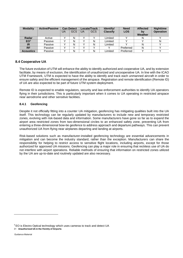| <b>Modality</b>  | <b>Active/Passive</b> | <b>UA</b> | <b>Can Detect</b><br><b>GCS</b> | UA | Locate/Track<br><b>GCS</b> | Identify/<br><b>Classify</b> | <b>Need</b><br><b>LOS</b> | <b>Affected</b><br>bv<br>Weather | <b>Nighttime</b><br><b>Operation</b> |
|------------------|-----------------------|-----------|---------------------------------|----|----------------------------|------------------------------|---------------------------|----------------------------------|--------------------------------------|
| Radar            | Active                |           | N                               |    |                            | Limited                      |                           | N                                |                                      |
| EO <sup>7</sup>  | Passive               |           | N                               |    | N                          | Limited                      |                           |                                  | N                                    |
| <b>IR</b>        | Passive               |           | N                               |    | N                          | Limited                      |                           | N                                |                                      |
| <b>RF</b>        | Passive               |           |                                 |    |                            |                              | Preferred                 | N                                |                                      |
| <b>Acoustics</b> | Passive               |           | N                               |    | Ν                          | Limited                      | Preferred                 |                                  |                                      |

### **8.4 Cooperative UA**

The future evolution of UTM will enhance the ability to identify authorized and cooperative UA, and by extension facilitate, by means of exclusion, the identification of unauthorized and uncooperative UA. In line with the ICAO UTM Framework, UTM is expected to have the ability to identify and track each unmanned aircraft in order to ensure safety and the efficient management of the airspace. Registration and remote identification (Remote ID) of UA are also expected to be part of future UTM system deployment.

Remote ID is expected to enable regulators, security and law enforcement authorities to identify UA operators flying in their jurisdictions. This is particularly important when it comes to UA operating in restricted airspace near aerodrome and other sensitive facilities.

#### **8.4.1 Geofencing**

Despite it not officially fitting into a counter UA mitigation, geofencing has mitigating qualities built into the UA itself. This technology can be regularly updated by manufacturers to include new and temporary restricted zones, evolving with risk-based data and information. Some manufacturers have gone so far as to expand the airport area restricted zones from two-dimensional circles to an enhanced safety zone, preventing UA from entering a three-dimensional bow-tie geofence to address approach and departure pathways. This can prevent unauthorized UA from flying near airplanes departing and landing at airports.

Risk-based solutions such as manufacturer-installed geofencing technology are essential advancements in mitigation and can become the industry standard, rather than the exception. Manufacturers can share the responsibility for helping to restrict access to sensitive flight locations, including airports, except for those authorized for approved UA missions. Geofencing can play a major role in ensuring that reckless use of UA do not interfere with airport operations. Reliable methods of ensuring that information on restricted zones utilized by the UA are up-to-date and routinely updated are also necessary.

 $7$  EO is Electro Optical technology which uses cameras to track and detect UA

<sup>31</sup> **Unauthorized UA in the Vicinity of Airports**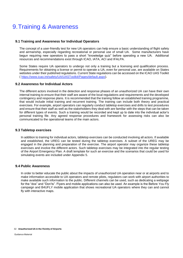# <span id="page-31-0"></span>9.Training & Awareness

#### **9.1 Training and Awareness for Individual Operators**

The concept of a user-friendly test for new UA operators can help ensure a basic understanding of flight safety and airmanship, especially regarding recreational or personal use of small UA. Some manufacturers have begun requiring new operators to pass a short "knowledge quiz" before operating a new UA. Additional resources and recommendations exist through ICAO, IATA, ACI and IFALPA.

Some States require UA operators to undergo not only a training but a licensing and qualification process. Requirements for obtaining a license or permit to operate a UA, even for personal use, are available on States websites under their published regulations. Current State regulations can be accessed on the ICAO UAS Toolkit ( [https://www.icao.int/safety/UA/UASToolkit/Pages/default.aspx\)](https://www.icao.int/safety/UA/UASToolkit/Pages/default.aspx).

#### **9.2 Awareness for Individual Actors**

The different actors involved in the detection and response phases of an unauthorized UA can have their own internal training to ensure that their staff are aware of the local regulations and requirements and the developed contingency and response plans. It is recommended that the training follow an established training programme, that would include initial training and recurrent training. The training can include both theory and practical exercises. For example, airport operators can regularly conduct tabletop exercises and drills to test procedures and ensure that their staff as well as the stakeholders they deal with are familiar with the steps that can be taken for different types of events. Such a training would be recorded and kept up to date into the individual actor's personal training file. Any agreed response procedures and framework for assessing risks can also be communicated to the operational teams of the main actors.

#### **9.3 Tabletop exercises**

In addition to training for individual actors, tabletop exercises can be conducted involving all actors. If available and established, the UREG can be tested during the tabletop exercises. A subset of the UREG may be engaged in the planning and preparation of the exercise. The airport operator may organize these tabletop exercises and involve the different actors. Such tabletop exercises may be integrated into the regular testing of the Airport Emergency Plan. A draft template for such an exercise and the scenarios that could be used for simulating events are included under Appendix 5.

#### **9.4 Public Awareness**

In order to better educate the public about the impacts of unauthorized UA operation near or at airports and to make information accessible to UA operators and remote pilots, regulators can work with airport authorities to make available such information to the public. Different channels can be used, such as dedicating a webpage for the "dos" and "Don'ts". Flyers and mobile applications can also be used. An example is the Before You Fly campaign and B4UFLY mobile application that shows recreational UA operators where they can and cannot fly with interactive maps.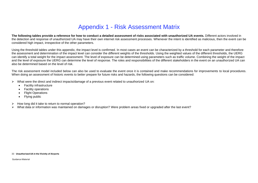# Appendix 1 - Risk Assessment Matrix

**The following tables provide a reference for how to conduct a detailed assessment of risks associated with unauthorized UA events.** Different actors involved in the detection and response of unauthorized UA may have their own internet risk assessment processes. Whenever the intent is identified as malicious, then the event can be considered high impact, irrespective of the other parameters.

Using the threshold tables under this appendix, the impact level is confirmed. In most cases an event can be characterized by a threshold for each parameter and therefore the assessment and determination of the impact level can consider the different weights of the thresholds. Using the weighted values of the different thresholds, the UERG can identify a total weight for the impact assessment. The level of exposure can be determined using parameters such as traffic volume. Combining the weight of the impact and the level of exposure the UERG can determine the level of response. The roles and responsibilities of the different stakeholders in the event on an unauthorized UA can also be determined based on the level of risk.

The risk assessment model included below can also be used to evaluate the event once it is contained and make recommendations for improvements to local procedures. When doing an assessment of historic events to better prepare for future risks and hazards, the following questions can be considered:

- ➢ What were the direct and indirect impacts/damage of a previous event related to unauthorized UA on:
	- Facility infrastructure
	- Facility operations
	- **Flight Operations**
	- Flying public
- <span id="page-32-0"></span>➢ How long did it take to return to normal operation?
- ➢ What data or information was maintained on damages or disruption? Were problem areas fixed or upgraded after the last event?

#### 33 **Unauthorized UA in the Vicinity of Airports**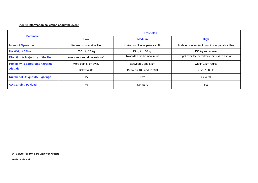#### **Step 1: Information collection about the event**

| <b>Parameter</b>                            | <b>Thresholds</b>            |                            |                                              |  |  |  |
|---------------------------------------------|------------------------------|----------------------------|----------------------------------------------|--|--|--|
|                                             | <b>Medium</b><br>Low         |                            | <b>High</b>                                  |  |  |  |
| <b>Intent of Operation</b>                  | Known / cooperative UA       | Unknown / Uncooperative UA | Malicious Intent (unknown/uncooperative UA)  |  |  |  |
| <b>UA Weight / Size</b>                     | 250 g to 25 kg               | 25 kg to 150 kg            | 150 kg and above                             |  |  |  |
| <b>Direction &amp; Trajectory of the UA</b> | Away from aerodrome/aircraft | Towards aerodrome/aircraft | Right over the aerodrome or next to aircraft |  |  |  |
| <b>Proximity to aerodrome / aircraft</b>    | More than 5 km away          | Between 1 and 5 km         | Within 1 km radius                           |  |  |  |
| <b>Altitude</b>                             | Below 400ft                  | Between 400 and 1000 ft    | Over 1000 ft                                 |  |  |  |
| <b>Number of Unique UA Sightings</b>        | <b>One</b>                   | Two                        | Several                                      |  |  |  |
| <b>UA Carrying Payload</b>                  | <b>No</b>                    | Not Sure                   | Yes                                          |  |  |  |

34 **Unauthorized UA in the Vicinity of Airports**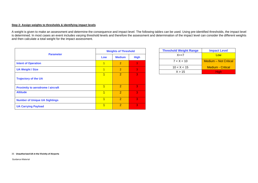#### **Step 2: Assign weights to thresholds & identifying impact levels**

A weight is given to make an assessment and determine the consequence and impact level. The following tables can be used. Using pre-identified thresholds, the impact level is determined. In most cases an event includes varying threshold levels and therefore the assessment and determination of the impact level can consider the different weights and then calculate a total weight for the impact assessment.

| <b>Parameter</b><br><b>Intent of Operation</b><br><b>UA Weight / Size</b><br><b>Trajectory of the UA</b><br><b>Proximity to aerodrome / aircraft</b><br><b>Altitude</b> | <b>Weights of Threshold</b> |                |             |  |  |
|-------------------------------------------------------------------------------------------------------------------------------------------------------------------------|-----------------------------|----------------|-------------|--|--|
|                                                                                                                                                                         | Low                         | <b>Medium</b>  | <b>High</b> |  |  |
|                                                                                                                                                                         | 1                           | $\overline{2}$ | 3           |  |  |
|                                                                                                                                                                         | 1                           | $\overline{2}$ | 3           |  |  |
|                                                                                                                                                                         | 1                           | $\overline{2}$ | 3           |  |  |
|                                                                                                                                                                         | 1                           | 2              | 3           |  |  |
|                                                                                                                                                                         | 1                           | $\overline{2}$ | 3           |  |  |
| <b>Number of Unique UA Sightings</b>                                                                                                                                    | 1                           | $\overline{2}$ | 3           |  |  |
| <b>UA Carrying Payload</b>                                                                                                                                              | 1                           | 2              | 3           |  |  |

| <b>Threshold Weight Range</b> | <b>Impact Level</b>          |
|-------------------------------|------------------------------|
| $X = < 7$                     | Low                          |
| 7 < X < 10                    | <b>Medium – Not Critical</b> |
| 10 < X < 15                   | <b>Medium - Critical</b>     |
| X > 15                        | High                         |

35 **Unauthorized UA in the Vicinity of Airports**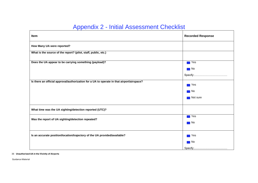# Appendix 2 - Initial Assessment Checklist

| Item                                                                                      | <b>Recorded Response</b>                |
|-------------------------------------------------------------------------------------------|-----------------------------------------|
| How Many UA were reported?                                                                |                                         |
| What is the source of the report? (pilot, staff, public, etc.)                            |                                         |
| Does the UA appear to be carrying something (payload)?                                    | $\blacksquare$ Yes<br>$\blacksquare$ No |
|                                                                                           |                                         |
| Is there an official approval/authorization for a UA to operate in that airport/airspace? | <b>T</b> Yes                            |
|                                                                                           | $\blacksquare$ No                       |
|                                                                                           | Not sure                                |
| What time was the UA sighting/detection reported (UTC)?                                   |                                         |
| Was the report of UA sighting/detection repeated?                                         | $\blacksquare$ Yes<br>$\blacksquare$ No |
|                                                                                           |                                         |
| Is an accurate position/location/trajectory of the UA provided/available?                 | $\blacksquare$ Yes                      |
|                                                                                           | $\blacksquare$ No                       |
|                                                                                           |                                         |

#### <span id="page-35-0"></span>36 **Unauthorized UA in the Vicinity of Airports**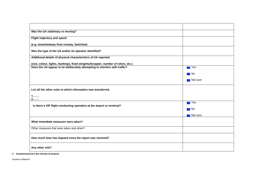| Was the UA stationary or moving?                                                 |          |
|----------------------------------------------------------------------------------|----------|
| Flight trajectory and speed                                                      |          |
| (e.g. towards/away from runway, fast/slow)                                       |          |
| Was the type of the UA and/or its operator identified?                           |          |
| Additional details of physical characteristics of UA reported                    |          |
| (size, colour, lights, markings, fixed wing/multicopper, number of rotors, etc.) |          |
| Does the UA appear to be deliberately attempting to interfere with traffic?      | l Yes    |
|                                                                                  | ∎ No     |
|                                                                                  | Not sure |
| List all the other units to which information was transferred.                   |          |
| 1<br>2                                                                           |          |
| Is there a VIP flight conducting operation at the airport or terminal?           | Yes      |
|                                                                                  | ∎ No     |
|                                                                                  | Not sure |
| What immediate measures were taken?                                              |          |
| Other measures that were taken and when?                                         |          |
| How much time has elapsed since the report was received?                         |          |
| Any other info?                                                                  |          |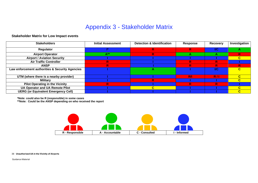# Appendix 3 - Stakeholder Matrix

# **Stakeholder Matrix for Low Impact events**

| <b>Stakeholders</b>                             | <b>Initial Assessment</b> | <b>Detection &amp; Identification</b> | Response | Recovery   | Investigation |
|-------------------------------------------------|---------------------------|---------------------------------------|----------|------------|---------------|
| Regulator                                       |                           | R                                     | R.       | <b>I/C</b> |               |
| <b>Airport Operator</b>                         | А*'                       | R                                     | А        | A          | R             |
| <b>Airport / Aviation Security</b>              |                           |                                       |          |            |               |
| <b>Air Traffic Controller</b>                   | R                         |                                       | R        | R.         |               |
| <b>ANSP</b>                                     | R                         |                                       | R        | R          |               |
| Law enforcement authorities & Security Agencies |                           |                                       |          | I/C        |               |
| UTM (where there is a nearby provider)          |                           |                                       | R/I      | R/I        |               |
| <b>Military</b>                                 |                           |                                       |          |            |               |
| <b>Pilot Operating in the Vicinity</b>          | R                         |                                       | R        | R          |               |
| <b>UA Operator and UA Remote Pilot</b>          |                           |                                       |          |            |               |
| <b>UERG (or Equivalent Emergency Cell)</b>      |                           |                                       |          |            | C.            |

<span id="page-37-0"></span>**\*Note: could also be R (responsible) in some cases**

**\*\*Note: Could be the ANSP depending on who received the report**



38 **Unauthorized UA in the Vicinity of Airports**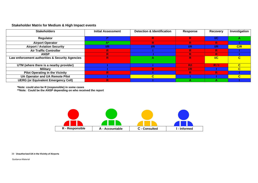# **Stakeholder Matrix for Medium & High Impact events**

| <b>Stakeholders</b>                             | <b>Initial Assessment</b> | <b>Detection &amp; Identification</b> | Response         | Recovery         | Investigation |
|-------------------------------------------------|---------------------------|---------------------------------------|------------------|------------------|---------------|
| <b>Regulator</b>                                |                           | R                                     | R                | <b>I/C</b>       |               |
| <b>Airport Operator</b>                         |                           | R                                     | R                | R                |               |
| <b>Airport / Aviation Security</b>              | $\mathsf{I/R}$            | $_{\rm I/R}$                          | $_{\rm I\! / R}$ | $_{\rm I\! / R}$ | C/R           |
| <b>Air Traffic Controller</b>                   |                           |                                       | R                | R                |               |
| <b>ANSP</b>                                     |                           |                                       | R                | R                |               |
| Law enforcement authorities & Security Agencies |                           |                                       | R                | $\overline{IC}$  |               |
|                                                 |                           |                                       |                  |                  |               |
| UTM (where there is a nearby provider)          |                           |                                       | R/I              | R/I              | $\mathbf{c}$  |
| Military                                        |                           |                                       | $_{\rm I/R}$     |                  |               |
| <b>Pilot Operating in the Vicinity</b>          |                           |                                       | R                | R                |               |
| <b>UA Operator and UA Remote Pilot</b>          |                           |                                       |                  |                  |               |
| <b>UERG (or Equivalent Emergency Cell)</b>      |                           |                                       |                  |                  |               |

**\*Note: could also be R (responsible) in some cases**

**\*\*Note: Could be the ANSP depending on who received the report**



39 **Unauthorized UA in the Vicinity of Airports**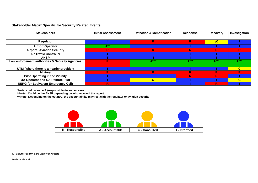## **Stakeholder Matrix Specific for Security Related Events**

| <b>Stakeholders</b>                             | <b>Initial Assessment</b> | <b>Detection &amp; Identification</b> | Response | <b>Recovery</b> | Investigation |
|-------------------------------------------------|---------------------------|---------------------------------------|----------|-----------------|---------------|
|                                                 |                           |                                       |          |                 |               |
| Regulator                                       |                           | R                                     | R        | $VC$            |               |
| <b>Airport Operator</b>                         | $A^{\ast\ast}$            |                                       |          |                 |               |
| <b>Airport / Aviation Security</b>              | R.                        | R                                     | R.       | R.              | R             |
| <b>Air Traffic Controller</b>                   |                           |                                       |          |                 |               |
| <b>ANSP</b>                                     |                           |                                       |          |                 |               |
| Law enforcement authorities & Security Agencies | R.                        | $A***$                                | $A***$   | $A***$          | $A***$        |
|                                                 |                           |                                       |          |                 |               |
| UTM (where there is a nearby provider)          |                           |                                       |          |                 | C             |
| <b>Military</b>                                 | R                         | R                                     | R        | R.              | R             |
| <b>Pilot Operating in the Vicinity</b>          |                           |                                       | R        | R               |               |
| <b>UA Operator and UA Remote Pilot</b>          |                           |                                       |          |                 |               |
| <b>UERG (or Equivalent Emergency Cell)</b>      | R                         |                                       |          | R.              |               |

**\*Note: could also be R (responsible) in some cases**

**\*\*Note: Could be the ANSP depending on who received the report**

**\*\*\*Note: Depending on the country, the accountability may rest with the regulator or aviation security**



40 **Unauthorized UA in the Vicinity of Airports**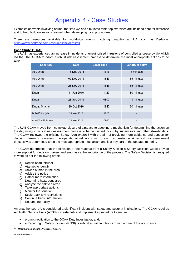# Appendix 4 - Case Studies

<span id="page-40-0"></span>Examples of events involving of unauthorized UA and simulated table-top exercises are included here for reference and to help build on lessons learned when developing local procedures.

There are resources available for worldwide events involving unauthorized UA, such as Dedrone: [https://www.dedrone.com/resources/incidents/all.](https://www.dedrone.com/resources/incidents/all)

#### **Case Study 1: UAE**

The UAE has experienced an increase in incidents of unauthorised intrusions of controlled airspace by UA which led the UAE GCAA to adopt a robust risk assessment process to determine the most appropriate actions to be taken.

| <b>Location</b>   | <b>Date</b> | <b>Local Time</b> | <b>Length of delay</b> |
|-------------------|-------------|-------------------|------------------------|
| Abu Dhabi         | 16 Dec 2015 | 1616              | 5 minutes              |
| Abu Dhabi         | 05 Dec 2015 | 1645              | 65 minutes             |
| Abu Dhabi         | 26 Nov 2015 | 1645              | 65 minutes             |
| Dubai             | 11 Jun 2016 | 1120              | 80 minutes             |
| Dubai             | 28 Sep 2016 | 0805              | 45 minutes             |
| Dubai/ Sharjah    | 29 Oct 2016 | 1945              | 80 minutes             |
| Dubai/ Sharjah    | 18 Nov 2016 | 1325              |                        |
| Abu Dhabi/ Bateen | 18 Nov 2016 | 0800              |                        |

The UAE GCAA moved from complete closure of airspace to adopting a mechanism for determining the action on the day using a tactical risk assessment process to be conducted in-situ by supervisors and other stakeholders. The GCAA reviewed the existing Safety Alert 04/2016 with the aim of providing more guidance and support for decision makers in assessing the operational risk according to each circumstance. A tactical risk assessment process was determined to be the most appropriate mechanism and is a key part of the updated material.

The GCAA determined that the elevation of the material from a Safety Alert to a Safety Decision would provide more support for decision makers and emphasise the importance of the process. The Safety Decision is designed to work as per the following order:

- a) Report of an intruder
- b) Attempt to identify
- c) Advise aircraft in the area
- d) Advise the police
- e) Gather more information
- f) Determine hazardous area
- g) Analyse the risk to aircraft
- h) Take appropriate actions
- i) Monitor the situation
- j) Scale-back any restrictions
- k) Continue traffic information
- l) Resume normality

An unauthorised UA is considered a significant incident with safety and security implications. The GCAA requires Air Traffic Service Units (ATSUs) to establish and implement a procedure to ensure:

- prompt notification to the GCAA Duty Investigator, and;
- a Reporting of Safety Incident (ROSI) is submitted within 3 hours from the time of the occurrence.

#### 41 **Unauthorized UA in the Vicinity of Airports**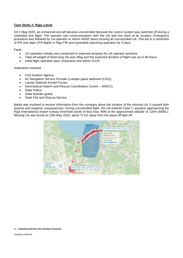#### **Case Study 2: Riga, Latvia**

On 2 May 2020, an unmanned aircraft became uncontrolled because the control system was switched off during a controlled test flight. The operator lost communications with the UA and lost track of its location. Emergency procedure was followed by UA operator to inform ANSP about missing an uncontrolled UA. This led to a restriction of IFR and night VFR flights in Riga FIR and expanded searching operation for 3 days.

Facts:

- UA operation initially was conducted in reserved airspace for UA operator activities.
- Take-off weight of fixed wing UA was 26kg and the expected duration of flight was up to 90 hours.
- Initial flight operation plan: endurance test within VLOS.

Institutions involved:

- Civil Aviation Agency;
- Air Navigation Service Provider (Latvijas gaisa satiksme (LGS));
- Latvian National Armed Forces;
- Aeronautical Search and Rescue Coordination Centre (ARCC);
- State Police:
- State boarder quard:
- State Fire and Rescue Service.

Media was involved to receive information from the company about the location of the missing UA. It caused both positive and negative consequences. During uncontrolled flight, the UA entered Class C airspace approaching the Riga International Airport runway threshold points of less than 4NM at the approximate altitude of 120m (AMSL). Missing UA was found on 15th May 2020, about 77 km away from the place off take off.



#### 42 **Unauthorized UA in the Vicinity of Airports**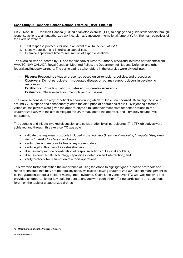### **Case Study 3: Transport Canada National Exercise (RPAS Shield II)**

On 20 Nov 2019, Transport Canada (TC) led a tabletop exercise (TTX) to engage and guide stakeholders through response actions to an unauthorized UA incursion at Vancouver International Airport (YVR). The main objectives of the exercise were to:

- 1. Test response protocols for use in an event of a UA incident at YVR.
- 2. Identify detection and interdiction capabilities.
- 3. Examine appropriate time for resumption of airport operations.

The exercise was co-hosted by TC and the Vancouver Airport Authority (VAA) and involved participants from VAA, TC, NAV CANADA, Royal Canadian Mounted Police, the Department of National Defense, and other federal and industry partners. The participating stakeholders in the exercise were divided into:

- **Players:** Respond to situation presented based on current plans, policies, and procedures.
- **Observers:** Do not participate in moderated discussion but may support players in developing responses.
- **Facilitators:** Provide situation updates and moderate discussions.
- **Evaluators:** Observe and document player discussions.

The exercise considered a hypothetical scenario during which multiple unauthorized UA are sighted in and around YVR airspace and consequently led to the disruption of operations at YVR. By injecting different variables, the players were given the opportunity to simulate their respective response actions to the unauthorized UA, with the aim to mitigate the UA threat, locate the operator, and ultimately resume YVR operations.

The scenario and injects invoked discussion and collaboration by all participants. The TTX objectives were achieved and through this exercise, TC was able:

- validate the response protocols included in the *Industry Guidance: Developing Integrated Response* Plans for RPAS Incident at an Airport;
- verify roles and responsibilities of key stakeholders;
- verify legal authorities of key stakeholders;
- discuss and practice coordination of response actions of key stakeholders;
- discuss counter-UA technology capabilities (detection and interdiction); and,
- verify protocol for resumption of airport operations.

This exercise further identified the importance of using tabletops to highlight gaps, practice protocols and refine techniques that may not be regularly used, while also allowing unauthorized UA incident management to be integrated into regular incident management systems. Overall, the Vancouver TTX was well received and provided an opportunity for key stakeholders to engage with each other offering participants an educational forum on the topic of unauthorized drones.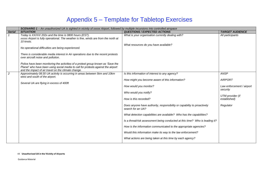# Appendix 5 – Template for Tabletop Exercises

|                | SCENARIO 1 - An unauthorized UA is sighted in vicinity of xxxxx Airport, followed by multiple incursions into controlled airspace                                                                                                                                                                                                                       |                                                                                                                                                                                                                                                                                                                                                                                                                                                                                                                                                                                                                                       |                                                                                                                         |  |
|----------------|---------------------------------------------------------------------------------------------------------------------------------------------------------------------------------------------------------------------------------------------------------------------------------------------------------------------------------------------------------|---------------------------------------------------------------------------------------------------------------------------------------------------------------------------------------------------------------------------------------------------------------------------------------------------------------------------------------------------------------------------------------------------------------------------------------------------------------------------------------------------------------------------------------------------------------------------------------------------------------------------------------|-------------------------------------------------------------------------------------------------------------------------|--|
| <b>Serial</b>  | <b>SITUATION</b>                                                                                                                                                                                                                                                                                                                                        | <b>QUESTIONS / EXPECTED ACTIONS</b>                                                                                                                                                                                                                                                                                                                                                                                                                                                                                                                                                                                                   | <b>TARGET AUDIENCE</b>                                                                                                  |  |
|                | Today is XX/XX/202x and the time is 0800 hours (EST).<br>xxxxx Airport is fully operational. The weather is fine, winds are from the north at<br>10 knots.<br>No operational difficulties are being experienced.                                                                                                                                        | What is your organisation currently dealing with?<br>What resources do you have available?                                                                                                                                                                                                                                                                                                                                                                                                                                                                                                                                            | All participants                                                                                                        |  |
|                | There is considerable media interest in Air operations due to the recent protests<br>over aircraft noise and pollution.<br>Police have been monitoring the activities of a protest group known as 'Save the<br>Planet' who have been using social media to call for protests against the airport<br>and the impact of air travel on the climate change. |                                                                                                                                                                                                                                                                                                                                                                                                                                                                                                                                                                                                                                       |                                                                                                                         |  |
| $\overline{2}$ | Approximately 08:30 UA activity is occurring in areas between 5km and 10km<br>west and south of the airport.<br>Several UA are flying in excess of 400ft                                                                                                                                                                                                | Is this information of interest to any agency?<br>How might you become aware of this information?<br>How would you monitor?<br>Who would you notify?<br>How is this recorded?<br>Does anyone have authority, responsibility or capability to proactively<br>search for an UA?<br>What detection capabilities are available? Who has the capabilities?<br>Is a threat/risk assessment being conducted at this time? Who is leading it?<br>How is the information communicated to the appropriate agencies?<br>Would this information make its way to the law enforcement?<br>What actions are being taken at this time by each agency? | <b>ANSP</b><br><b>AIRPORT</b><br>Law enforcement / airport<br>security<br>UTM provider (if<br>established)<br>Regulator |  |

#### <span id="page-43-0"></span>44 **Unauthorized UA in the Vicinity of Airports**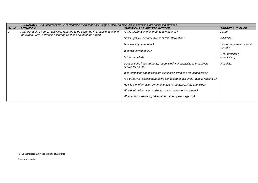|               | <b>SCENARIO 1</b> – An unauthorized UA is sighted in vicinity of xxxxx Airport, followed by multiple incursions into controlled airspace                    |                                                                                              |                                       |  |
|---------------|-------------------------------------------------------------------------------------------------------------------------------------------------------------|----------------------------------------------------------------------------------------------|---------------------------------------|--|
| <b>Serial</b> | <b>SITUATION</b>                                                                                                                                            | <b>QUESTIONS / EXPECTED ACTIONS</b>                                                          | <b>TARGET AUDIENCE</b>                |  |
| 3             | Approximately 09:00 UA activity is reported to be occurring in area 2km to 5km of<br>the airport. Most activity is occurring west and south of the airport. | Is this information of interest to any agency?                                               | ANSP                                  |  |
|               |                                                                                                                                                             | How might you become aware of this information?                                              | <b>AIRPORT</b>                        |  |
|               |                                                                                                                                                             | How would you monitor?                                                                       | Law enforcement / airport<br>security |  |
|               |                                                                                                                                                             | Who would you notify?                                                                        | UTM provider (if                      |  |
|               |                                                                                                                                                             | Is this recorded?                                                                            | established)                          |  |
|               |                                                                                                                                                             | Does anyone have authority, responsibility or capability to proactively<br>search for an UA? | Regulator                             |  |
|               |                                                                                                                                                             | What detection capabilities are available? Who has the capabilities?                         |                                       |  |
|               |                                                                                                                                                             | Is a threat/risk assessment being conducted at this time? Who is leading it?                 |                                       |  |
|               |                                                                                                                                                             | How is the information communicated to the appropriate agencies?                             |                                       |  |
|               |                                                                                                                                                             | Would this information make its way to the law enforcement?                                  |                                       |  |
|               |                                                                                                                                                             | What actions are being taken at this time by each agency?                                    |                                       |  |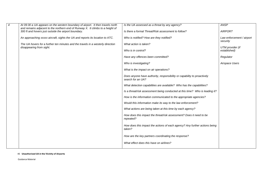| $\boldsymbol{4}$ | At 09:30 a UA appears on the western boundary of airport. It then travels north<br>and remains adjacent to the northern end of Runway X. It climbs to a height of | Is the UA assessed as a threat by any agency?                                                | <b>ANSP</b>                           |
|------------------|-------------------------------------------------------------------------------------------------------------------------------------------------------------------|----------------------------------------------------------------------------------------------|---------------------------------------|
|                  | 300 ft and hovers just outside the airport boundary.                                                                                                              | Is there a formal Threat/Risk assessment to follow?                                          | <b>AIRPORT</b>                        |
|                  | An approaching xxxxx aircraft, sights the UA and reports its location to ATC.                                                                                     | Who is notified? How are they notified?                                                      | Law enforcement / airport<br>security |
|                  | The UA hovers for a further ten minutes and the travels in a westerly direction                                                                                   | What action is taken?                                                                        | UTM provider (if                      |
|                  | disappearing from sight.                                                                                                                                          | Who is in control?                                                                           | established)                          |
|                  |                                                                                                                                                                   | Have any offences been committed?                                                            | Regulator                             |
|                  |                                                                                                                                                                   | Who is investigating?                                                                        | Airspace Users                        |
|                  |                                                                                                                                                                   | What is the impact on air operations?                                                        |                                       |
|                  |                                                                                                                                                                   | Does anyone have authority, responsibility or capability to proactively<br>search for an UA? |                                       |
|                  |                                                                                                                                                                   | What detection capabilities are available? Who has the capabilities?                         |                                       |
|                  |                                                                                                                                                                   | Is a threat/risk assessment being conducted at this time? Who is leading it?                 |                                       |
|                  |                                                                                                                                                                   | How is the information communicated to the appropriate agencies?                             |                                       |
|                  |                                                                                                                                                                   | Would this information make its way to the law enforcement?                                  |                                       |
|                  |                                                                                                                                                                   | What actions are being taken at this time by each agency?                                    |                                       |
|                  |                                                                                                                                                                   | How does this impact the threat/risk assessment? Does it need to be<br>repeated?             |                                       |
|                  |                                                                                                                                                                   | How does this impact the actions of each agency? Any further actions being<br>taken?         |                                       |
|                  |                                                                                                                                                                   | How are the key partners coordinating the response?                                          |                                       |
|                  |                                                                                                                                                                   | What effect does this have on airlines?                                                      |                                       |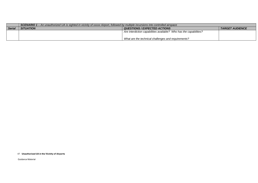|               | <b>SCENARIO 1</b> – An unauthorized UA is sighted in vicinity of xxxxx Airport, followed by multiple incursions into controlled airspace |                                                                    |                        |  |  |
|---------------|------------------------------------------------------------------------------------------------------------------------------------------|--------------------------------------------------------------------|------------------------|--|--|
| <b>Serial</b> | <b>SITUATION</b>                                                                                                                         | QUESTIONS / EXPECTED ACTIONS                                       | <b>TARGET AUDIENCE</b> |  |  |
|               |                                                                                                                                          | Are interdiction capabilities available? Who has the capabilities? |                        |  |  |
|               |                                                                                                                                          |                                                                    |                        |  |  |
|               |                                                                                                                                          | What are the technical challenges and requirements?                |                        |  |  |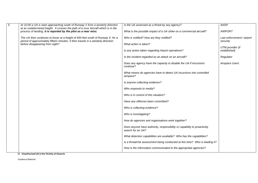| $\overline{5}$ | At 10:00 a UA is seen approaching south of Runway X from a westerly direction<br>at an undetermined height. It crosses the path of a xxxx Aircraft which is in the  | Is the UA assessed as a threat by any agency?                                                | <b>ANSP</b>                      |
|----------------|---------------------------------------------------------------------------------------------------------------------------------------------------------------------|----------------------------------------------------------------------------------------------|----------------------------------|
|                | process of landing, it is reported by the pilot as a near miss.                                                                                                     | What is the possible impact of a UA strike on a commercial aircraft?                         | <b>AIRPORT</b>                   |
|                | The UA then continues to hover at a height of 600 feet south of Runway X, for a<br>period of approximately fifteen minutes. It then travels in a westerly direction | Who is notified? How are they notified?                                                      | Law enforcement / airport        |
|                | before disappearing from sight?                                                                                                                                     | What action is taken?                                                                        | security                         |
|                |                                                                                                                                                                     | Is any action taken regarding Airport operations?                                            | UTM provider (if<br>established) |
|                |                                                                                                                                                                     | Is the incident regarded as an attack on an aircraft?                                        | Regulator                        |
|                |                                                                                                                                                                     | Does any agency have the capacity to disable the UA if incursions<br>continue?               | Airspace Users                   |
|                |                                                                                                                                                                     | What means do agencies have to detect UA incursions into controlled<br>airspace?             |                                  |
|                |                                                                                                                                                                     | Is anyone collecting evidence?                                                               |                                  |
|                |                                                                                                                                                                     | Who responds to media?                                                                       |                                  |
|                |                                                                                                                                                                     | Who is in control of this situation?                                                         |                                  |
|                |                                                                                                                                                                     | Have any offences been committed?                                                            |                                  |
|                |                                                                                                                                                                     | Who is collecting evidence?                                                                  |                                  |
|                |                                                                                                                                                                     | Who is investigating?                                                                        |                                  |
|                |                                                                                                                                                                     | How do agencies and organisations work together?                                             |                                  |
|                |                                                                                                                                                                     | Does anyone have authority, responsibility or capability to proactively<br>search for an UA? |                                  |
|                |                                                                                                                                                                     | What detection capabilities are available? Who has the capabilities?                         |                                  |
|                |                                                                                                                                                                     | Is a threat/risk assessment being conducted at this time? Who is leading it?                 |                                  |
|                |                                                                                                                                                                     | How is the information communicated to the appropriate agencies?                             |                                  |
|                | 10 Ilnouthorized IIA in the Vicinity of Airports                                                                                                                    |                                                                                              |                                  |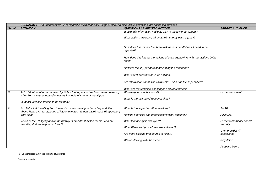|               | SCENARIO 1 - An unauthorized UA is sighted in vicinity of xxxxx Airport, followed by multiple incursions into controlled airspace                                  |                                                                                                                          |                                       |  |
|---------------|--------------------------------------------------------------------------------------------------------------------------------------------------------------------|--------------------------------------------------------------------------------------------------------------------------|---------------------------------------|--|
| <b>Serial</b> | <b>SITUATION</b>                                                                                                                                                   | <b>QUESTIONS / EXPECTED ACTIONS</b>                                                                                      | <b>TARGET AUDIENCE</b>                |  |
|               |                                                                                                                                                                    | Would this information make its way to the law enforcement?<br>What actions are being taken at this time by each agency? |                                       |  |
|               |                                                                                                                                                                    | How does this impact the threat/risk assessment? Does it need to be<br>repeated?                                         |                                       |  |
|               |                                                                                                                                                                    | How does this impact the actions of each agency? Any further actions being<br>taken?                                     |                                       |  |
|               |                                                                                                                                                                    | How are the key partners coordinating the response?                                                                      |                                       |  |
|               |                                                                                                                                                                    | What effect does this have on airlines?                                                                                  |                                       |  |
|               |                                                                                                                                                                    | Are interdiction capabilities available? Who has the capabilities?                                                       |                                       |  |
|               |                                                                                                                                                                    | What are the technical challenges and requirements?                                                                      |                                       |  |
| 6             | At 10:30 information is received by Police that a person has been seen operating<br>a UA from a vessel located in waters immediately north of the airport          | Who responds to this report?                                                                                             | Law enforcement                       |  |
|               | (suspect vessel is unable to be located?)                                                                                                                          | What is the estimated response time?                                                                                     |                                       |  |
| 8             | At 1100 a UA travelling from the east crosses the airport boundary and flies<br>above Runway A for a period of fifteen minutes. It then travels east, disappearing | What is the impact on Air operations?                                                                                    | <b>ANSP</b>                           |  |
|               | from sight.                                                                                                                                                        | How do agencies and organisations work together?                                                                         | <b>AIRPORT</b>                        |  |
|               | Vision of the UA flying above the runway is broadcast by the media, who are<br>reporting that the airport is closed?                                               | What technology is deployed?                                                                                             | Law enforcement / airport<br>security |  |
|               |                                                                                                                                                                    | What Plans and procedures are activated?                                                                                 |                                       |  |
|               |                                                                                                                                                                    | Are there existing procedures to follow?                                                                                 | UTM provider (if<br>established)      |  |
|               |                                                                                                                                                                    | Who is dealing with the media?                                                                                           | Regulator                             |  |
|               |                                                                                                                                                                    |                                                                                                                          | Airspace Users                        |  |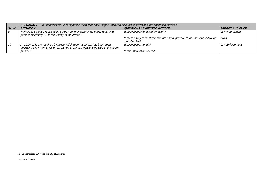|               | SCENARIO 1 - An unauthorized UA is sighted in vicinity of xxxxx Airport, followed by multiple incursions into controlled airspace                               |                                                                                              |                        |  |
|---------------|-----------------------------------------------------------------------------------------------------------------------------------------------------------------|----------------------------------------------------------------------------------------------|------------------------|--|
| <b>Serial</b> | <b>SITUATION</b>                                                                                                                                                | <b>QUESTIONS / EXPECTED ACTIONS</b>                                                          | <b>TARGET AUDIENCE</b> |  |
|               | Numerous calls are received by police from members of the public regarding<br>persons operating UA in the vicinity of the Airport?                              | Who responds to this information?                                                            | Law enforcement        |  |
|               |                                                                                                                                                                 | Is there a way to identify legitimate and approved UA use as opposed to the<br>offending UA? | ANSP                   |  |
| 10            | At 11:20 calls are received by police which report a person has been seen<br>operating a UA from a white van parked at various locations outside of the airport | Who responds to this?                                                                        | <b>Law Enforcement</b> |  |
|               | precinct.                                                                                                                                                       | Is this information shared?                                                                  |                        |  |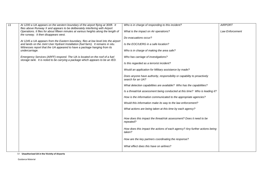| $\overline{11}$ | At 1200 a UA appears on the western boundary of the airport flying at 300ft. It<br>flies above Runway X and appears to be deliberately interfering with Airport                                                                                      | Who is in charge of responding to this incident?                                             | <b>AIRPORT</b>         |
|-----------------|------------------------------------------------------------------------------------------------------------------------------------------------------------------------------------------------------------------------------------------------------|----------------------------------------------------------------------------------------------|------------------------|
|                 | Operations. It flies for about fifteen minutes at various heights along the length of<br>the runway. It then disappears west.                                                                                                                        | What is the impact on Air operations?                                                        | <b>Law Enforcement</b> |
|                 |                                                                                                                                                                                                                                                      | Do evacuations occur?                                                                        |                        |
|                 | At 1245 a UA appears from the Eastern boundary, flies at low level into the airport<br>and lands on the Joint User Hydrant Installation (fuel farm). It remains in situ.<br>Witnesses report that the UA appeared to have a package hanging from its | Is the EOC/UERG in a safe location?                                                          |                        |
|                 | undercarriage.                                                                                                                                                                                                                                       | Who is in charge of making the area safe?                                                    |                        |
|                 | Emergency Services (ARFF) respond. The UA is located on the roof of a fuel<br>storage tank. It is noted to be carrying a package which appears to be an IED.                                                                                         | Who has carriage of investigations?                                                          |                        |
|                 |                                                                                                                                                                                                                                                      | Is this regarded as a terrorist incident?                                                    |                        |
|                 |                                                                                                                                                                                                                                                      | Would an application for Military assistance by made?                                        |                        |
|                 |                                                                                                                                                                                                                                                      | Does anyone have authority, responsibility or capability to proactively<br>search for an UA? |                        |
|                 |                                                                                                                                                                                                                                                      | What detection capabilities are available? Who has the capabilities?                         |                        |
|                 |                                                                                                                                                                                                                                                      | Is a threat/risk assessment being conducted at this time? Who is leading it?                 |                        |
|                 |                                                                                                                                                                                                                                                      | How is the information communicated to the appropriate agencies?                             |                        |
|                 |                                                                                                                                                                                                                                                      | Would this information make its way to the law enforcement?                                  |                        |
|                 |                                                                                                                                                                                                                                                      | What actions are being taken at this time by each agency?                                    |                        |
|                 |                                                                                                                                                                                                                                                      | How does this impact the threat/risk assessment? Does it need to be<br>repeated?             |                        |
|                 |                                                                                                                                                                                                                                                      | How does this impact the actions of each agency? Any further actions being<br>taken?         |                        |
|                 |                                                                                                                                                                                                                                                      | How are the key partners coordinating the response?                                          |                        |
|                 |                                                                                                                                                                                                                                                      | What effect does this have on airlines?                                                      |                        |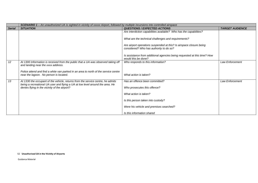|               | SCENARIO 1 - An unauthorized UA is sighted in vicinity of xxxxx Airport, followed by multiple incursions into controlled airspace |                                                                                                                |                        |  |  |
|---------------|-----------------------------------------------------------------------------------------------------------------------------------|----------------------------------------------------------------------------------------------------------------|------------------------|--|--|
| <b>Serial</b> | <b>SITUATION</b>                                                                                                                  | <b>QUESTIONS / EXPECTED ACTIONS</b>                                                                            | <b>TARGET AUDIENCE</b> |  |  |
|               |                                                                                                                                   | Are interdiction capabilities available? Who has the capabilities?                                             |                        |  |  |
|               |                                                                                                                                   | What are the technical challenges and requirements?                                                            |                        |  |  |
|               |                                                                                                                                   | Are airport operations suspended at this? Is airspace closure being<br>considered? Who has authority to do so? |                        |  |  |
|               |                                                                                                                                   | Is assistance from additional agencies being requested at this time? How<br>would this be done?                |                        |  |  |
| 12            | At 1300 Information is received from the public that a UA was observed taking off<br>and landing near the xxxx address.           | Who responds to this information?                                                                              | <b>Law Enforcement</b> |  |  |
|               | Police attend and find a white van parked in an area to north of the service centre<br>near the lagoon. No person is located.     | What action is taken?                                                                                          |                        |  |  |
| 13            | At 1330 the occupant of the vehicle, returns from the service centre, he admits                                                   | Has an offence been committed?                                                                                 | Law Enforcement        |  |  |
|               | being a recreational UA user and flying a UA at low level around the area. He<br>denies flying in the vicinity of the airport?    | Who prosecutes this offence?                                                                                   |                        |  |  |
|               |                                                                                                                                   | What action is taken?                                                                                          |                        |  |  |
|               |                                                                                                                                   | Is this person taken into custody?                                                                             |                        |  |  |
|               |                                                                                                                                   | Were his vehicle and premises searched?                                                                        |                        |  |  |
|               |                                                                                                                                   | Is this information shared                                                                                     |                        |  |  |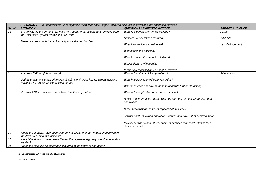|               | SCENARIO 1 - An unauthorized UA is sighted in vicinity of xxxxx Airport, followed by multiple incursions into controlled airspace                                                                 |                                                                                           |                        |
|---------------|---------------------------------------------------------------------------------------------------------------------------------------------------------------------------------------------------|-------------------------------------------------------------------------------------------|------------------------|
| <b>Serial</b> | <b>SITUATION</b>                                                                                                                                                                                  | <b>QUESTIONS / EXPECTED ACTIONS</b>                                                       | <b>TARGET AUDIENCE</b> |
| 14            | It is now 17:30 the UA and IED have now been rendered safe and removed from<br>the Joint User Hydrant Installation (fuel farm).<br>There has been no further UA activity since the last incident. | What is the impact on Air operations?                                                     | ANSP                   |
|               |                                                                                                                                                                                                   | How are Air operations restored?                                                          | <b>AIRPORT</b>         |
|               |                                                                                                                                                                                                   | What information is considered?                                                           | <b>Law Enforcement</b> |
|               |                                                                                                                                                                                                   | Who makes the decision?                                                                   |                        |
|               |                                                                                                                                                                                                   | What has been the impact to Airlines?                                                     |                        |
|               |                                                                                                                                                                                                   | Who is dealing with media?                                                                |                        |
|               |                                                                                                                                                                                                   | Is this now regarded as an act of Terrorism?                                              |                        |
| 16            | It is now 08.00 on (following day)                                                                                                                                                                | What is the status of Air operations?                                                     | All agencies           |
|               | Update status on Person Of Interest (POI). No charges laid for airport incident.<br>However, no further UA flights since arrest.                                                                  | What has been learned from yesterday?                                                     |                        |
|               |                                                                                                                                                                                                   | What resources are now on hand to deal with further UA activity?                          |                        |
|               | No other POI's or suspects have been identified by Police.                                                                                                                                        | What is the implication of sustained closure?                                             |                        |
|               |                                                                                                                                                                                                   | How is the information shared with key partners that the threat has been<br>neutralized?  |                        |
|               |                                                                                                                                                                                                   | Is the threat/risk assessment repeated at this time?                                      |                        |
|               |                                                                                                                                                                                                   | At what point will airport operations resume and how is that decision made?               |                        |
|               |                                                                                                                                                                                                   | If airspace was closed, at what point is airspace reopened? How is that<br>decision made? |                        |
| 19            | Would the situation have been different if a threat to airport had been received in<br>the days preceding this incident?                                                                          |                                                                                           |                        |
| 20            | Would the situation have been different if a high-level dignitary was due to land on<br>the day?                                                                                                  |                                                                                           |                        |
| 21            | Would the situation be different if occurring in the hours of darkness?                                                                                                                           |                                                                                           |                        |